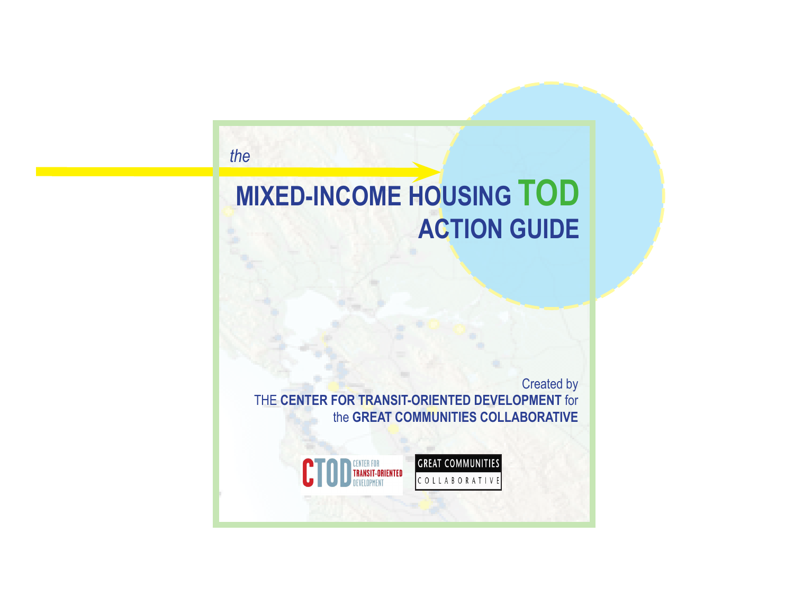*the*

# **MIXED-INCOME HOUSING TOD ACTION GUIDE**

Created by THE **CENTER FOR TRANSIT-ORIENTED DEVELOPMENT** for the **GREAT COMMUNITIES COLLABORATIVE**

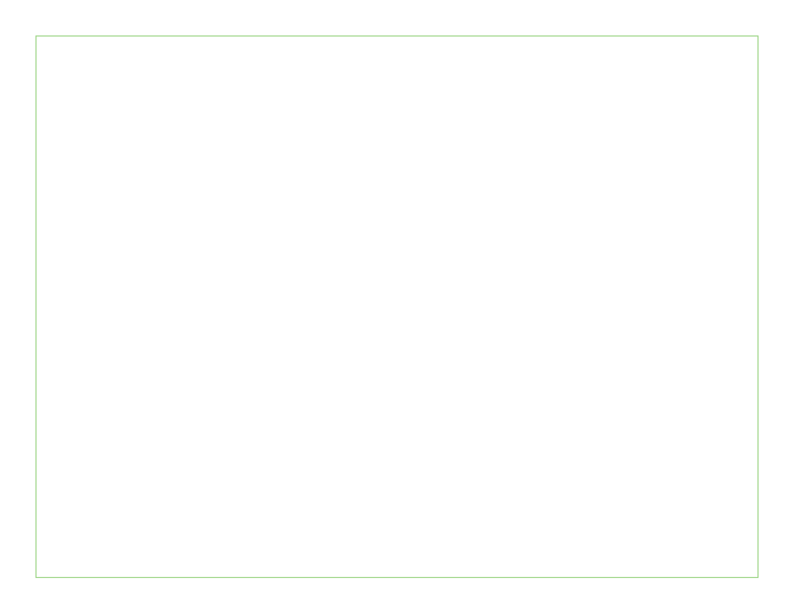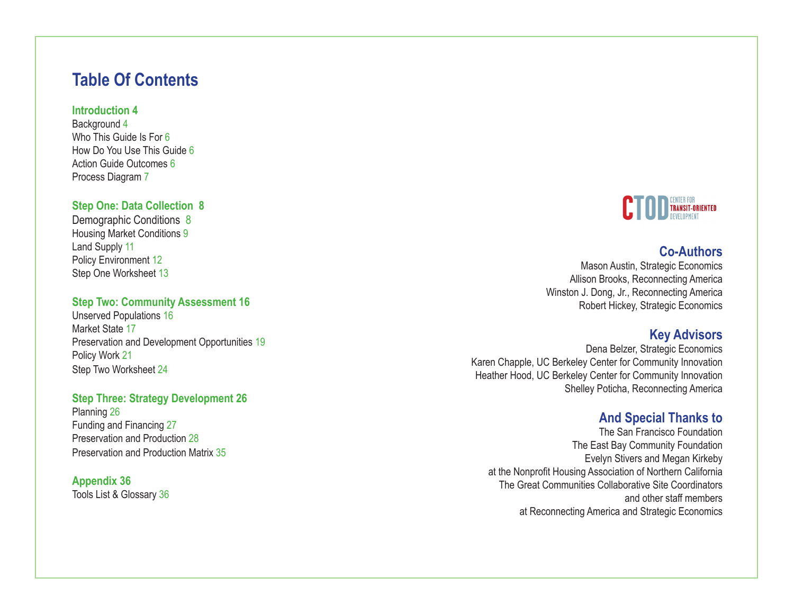# **Table Of Contents**

#### **Introduction 4**

Background 4 Who This Guide Is For 6 How Do You Use This Guide 6 Action Guide Outcomes 6 Process Diagram 7

#### **Step One: Data Collection 8**

Demographic Conditions 8 Housing Market Conditions 9 Land Supply 11 Policy Environment 12 Step One Worksheet 13

#### **Step Two: Community Assessment 16**

Unserved Populations 16 Market State 17 Preservation and Development Opportunities 19 Policy Work 21 Step Two Worksheet 24

### **Step Three: Strategy Development 26**

Planning 26 Funding and Financing 27 Preservation and Production 28 Preservation and Production Matrix 35

**Appendix 36** Tools List & Glossary 36



# **Co-Authors**

Mason Austin, Strategic Economics Allison Brooks, Reconnecting America Winston J. Dong, Jr., Reconnecting America Robert Hickey, Strategic Economics

# **Key Advisors**

Dena Belzer, Strategic Economics Karen Chapple, UC Berkeley Center for Community Innovation Heather Hood, UC Berkeley Center for Community Innovation Shelley Poticha, Reconnecting America

# **And Special Thanks to**

The San Francisco Foundation The East Bay Community Foundation Evelyn Stivers and Megan Kirkeby at the Nonprofit Housing Association of Northern California The Great Communities Collaborative Site Coordinators and other staff members at Reconnecting America and Strategic Economics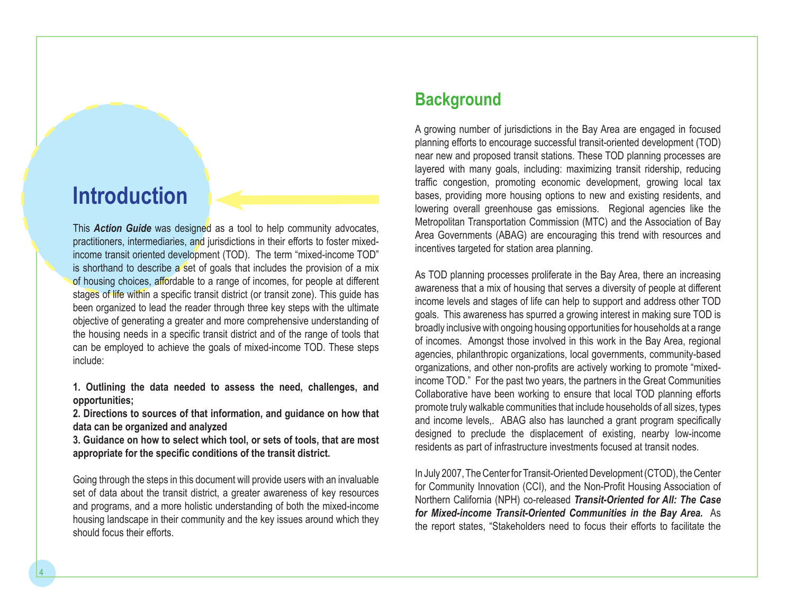# **Introduction**

This *Action Guide* was designed as a tool to help community advocates, practitioners, intermediaries, and jurisdictions in their efforts to foster mixedincome transit oriented development (TOD). The term "mixed-income TOD" is shorthand to describe a set of goals that includes the provision of a mix of housing choices, affordable to a range of incomes, for people at different stages of life within a specific transit district (or transit zone). This guide has been organized to lead the reader through three key steps with the ultimate objective of generating a greater and more comprehensive understanding of the housing needs in a specific transit district and of the range of tools that can be employed to achieve the goals of mixed-income TOD. These steps include:

**1. Outlining the data needed to assess the need, challenges, and opportunities;** 

**2. Directions to sources of that information, and guidance on how that data can be organized and analyzed** 

**3. Guidance on how to select which tool, or sets of tools, that are most appropriate for the specific conditions of the transit district.** 

Going through the steps in this document will provide users with an invaluable set of data about the transit district, a greater awareness of key resources and programs, and a more holistic understanding of both the mixed-income housing landscape in their community and the key issues around which they should focus their efforts.

# **Background**

A growing number of jurisdictions in the Bay Area are engaged in focused planning efforts to encourage successful transit-oriented development (TOD) near new and proposed transit stations. These TOD planning processes are layered with many goals, including: maximizing transit ridership, reducing traffic congestion, promoting economic development, growing local tax bases, providing more housing options to new and existing residents, and lowering overall greenhouse gas emissions. Regional agencies like the Metropolitan Transportation Commission (MTC) and the Association of Bay Area Governments (ABAG) are encouraging this trend with resources and incentives targeted for station area planning.

As TOD planning processes proliferate in the Bay Area, there an increasing awareness that a mix of housing that serves a diversity of people at different income levels and stages of life can help to support and address other TOD goals. This awareness has spurred a growing interest in making sure TOD is broadly inclusive with ongoing housing opportunities for households at a range of incomes. Amongst those involved in this work in the Bay Area, regional agencies, philanthropic organizations, local governments, community-based organizations, and other non-profits are actively working to promote "mixedincome TOD." For the past two years, the partners in the Great Communities Collaborative have been working to ensure that local TOD planning efforts promote truly walkable communities that include households of all sizes, types and income levels,. ABAG also has launched a grant program specifically designed to preclude the displacement of existing, nearby low-income residents as part of infrastructure investments focused at transit nodes.

In July 2007, The Center for Transit-Oriented Development (CTOD), the Center for Community Innovation (CCI), and the Non-Profit Housing Association of Northern California (NPH) co-released *Transit-Oriented for All: The Case for Mixed-income Transit-Oriented Communities in the Bay Area.* As the report states, "Stakeholders need to focus their efforts to facilitate the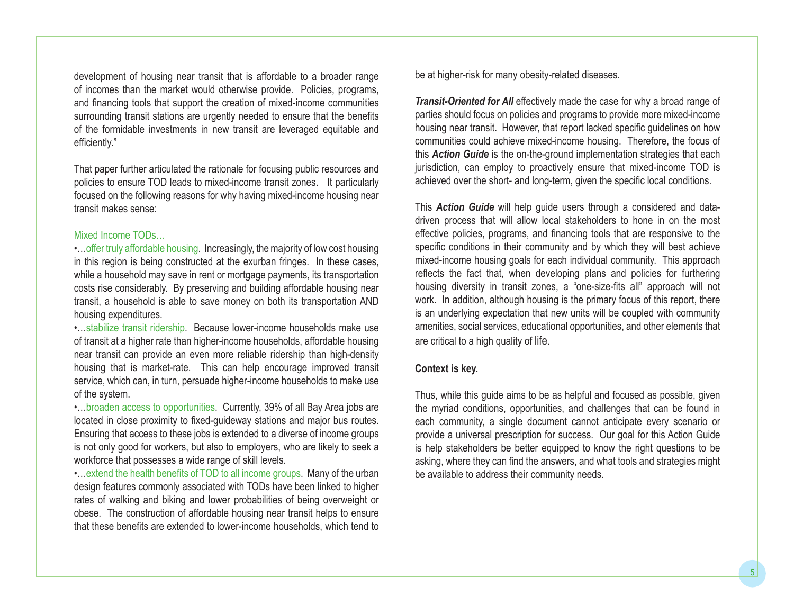development of housing near transit that is affordable to a broader range of incomes than the market would otherwise provide. Policies, programs, and financing tools that support the creation of mixed-income communities surrounding transit stations are urgently needed to ensure that the benefits of the formidable investments in new transit are leveraged equitable and efficiently."

That paper further articulated the rationale for focusing public resources and policies to ensure TOD leads to mixed-income transit zones. It particularly focused on the following reasons for why having mixed-income housing near transit makes sense:

#### Mixed Income TODs…

•... offer truly affordable housing. Increasingly, the majority of low cost housing in this region is being constructed at the exurban fringes. In these cases, while a household may save in rent or mortgage payments, its transportation costs rise considerably. By preserving and building affordable housing near transit, a household is able to save money on both its transportation AND housing expenditures.

•…stabilize transit ridership. Because lower-income households make use of transit at a higher rate than higher-income households, affordable housing near transit can provide an even more reliable ridership than high-density housing that is market-rate. This can help encourage improved transit service, which can, in turn, persuade higher-income households to make use of the system.

•…broaden access to opportunities. Currently, 39% of all Bay Area jobs are located in close proximity to fixed-guideway stations and major bus routes. Ensuring that access to these jobs is extended to a diverse of income groups is not only good for workers, but also to employers, who are likely to seek a workforce that possesses a wide range of skill levels.

•…extend the health benefits of TOD to all income groups. Many of the urban design features commonly associated with TODs have been linked to higher rates of walking and biking and lower probabilities of being overweight or obese. The construction of affordable housing near transit helps to ensure that these benefits are extended to lower-income households, which tend to

be at higher-risk for many obesity-related diseases.

*Transit-Oriented for All* effectively made the case for why a broad range of parties should focus on policies and programs to provide more mixed-income housing near transit. However, that report lacked specific guidelines on how communities could achieve mixed-income housing. Therefore, the focus of this *Action Guide* is the on-the-ground implementation strategies that each jurisdiction, can employ to proactively ensure that mixed-income TOD is achieved over the short- and long-term, given the specific local conditions.

This *Action Guide* will help guide users through a considered and datadriven process that will allow local stakeholders to hone in on the most effective policies, programs, and financing tools that are responsive to the specific conditions in their community and by which they will best achieve mixed-income housing goals for each individual community. This approach reflects the fact that, when developing plans and policies for furthering housing diversity in transit zones, a "one-size-fits all" approach will not work. In addition, although housing is the primary focus of this report, there is an underlying expectation that new units will be coupled with community amenities, social services, educational opportunities, and other elements that are critical to a high quality of life.

#### **Context is key.**

Thus, while this guide aims to be as helpful and focused as possible, given the myriad conditions, opportunities, and challenges that can be found in each community, a single document cannot anticipate every scenario or provide a universal prescription for success. Our goal for this Action Guide is help stakeholders be better equipped to know the right questions to be asking, where they can find the answers, and what tools and strategies might be available to address their community needs.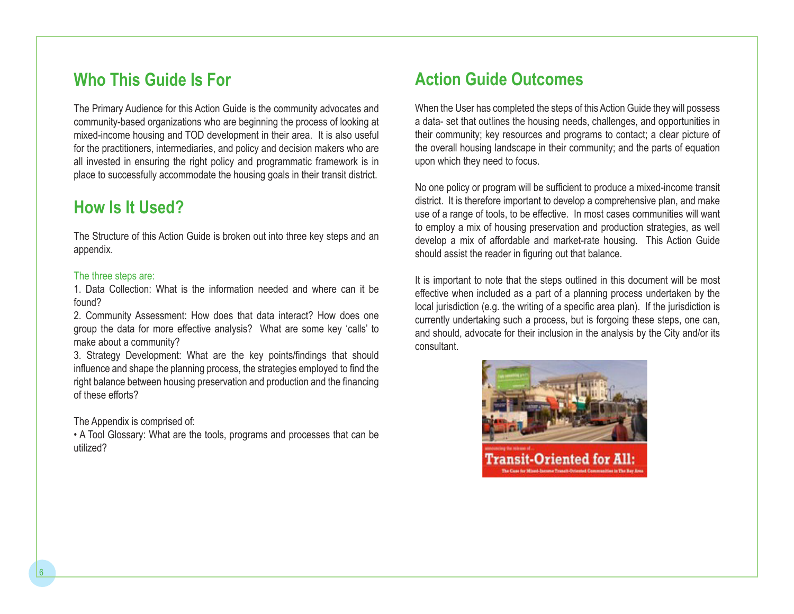# **Who This Guide Is For**

The Primary Audience for this Action Guide is the community advocates and community-based organizations who are beginning the process of looking at mixed-income housing and TOD development in their area. It is also useful for the practitioners, intermediaries, and policy and decision makers who are all invested in ensuring the right policy and programmatic framework is in place to successfully accommodate the housing goals in their transit district.

# **How Is It Used?**

The Structure of this Action Guide is broken out into three key steps and an appendix.

#### The three steps are:

1. Data Collection: What is the information needed and where can it be found?

2. Community Assessment: How does that data interact? How does one group the data for more effective analysis? What are some key 'calls' to make about a community?

3. Strategy Development: What are the key points/findings that should influence and shape the planning process, the strategies employed to find the right balance between housing preservation and production and the financing of these efforts?

#### The Appendix is comprised of:

• A Tool Glossary: What are the tools, programs and processes that can be utilized?

# **Action Guide Outcomes**

When the User has completed the steps of this Action Guide they will possess a data- set that outlines the housing needs, challenges, and opportunities in their community; key resources and programs to contact; a clear picture of the overall housing landscape in their community; and the parts of equation upon which they need to focus.

No one policy or program will be sufficient to produce a mixed-income transit district. It is therefore important to develop a comprehensive plan, and make use of a range of tools, to be effective. In most cases communities will want to employ a mix of housing preservation and production strategies, as well develop a mix of affordable and market-rate housing. This Action Guide should assist the reader in figuring out that balance.

It is important to note that the steps outlined in this document will be most effective when included as a part of a planning process undertaken by the local jurisdiction (e.g. the writing of a specific area plan). If the jurisdiction is currently undertaking such a process, but is forgoing these steps, one can, and should, advocate for their inclusion in the analysis by the City and/or its consultant.

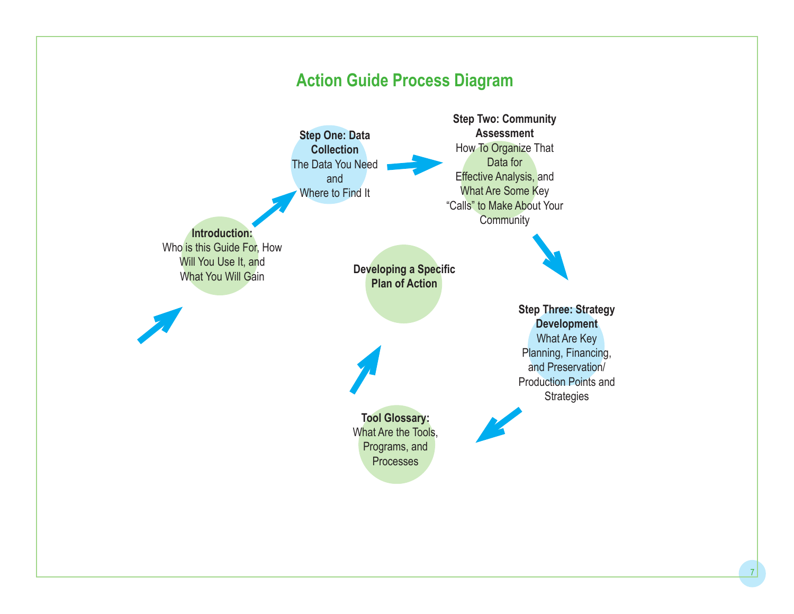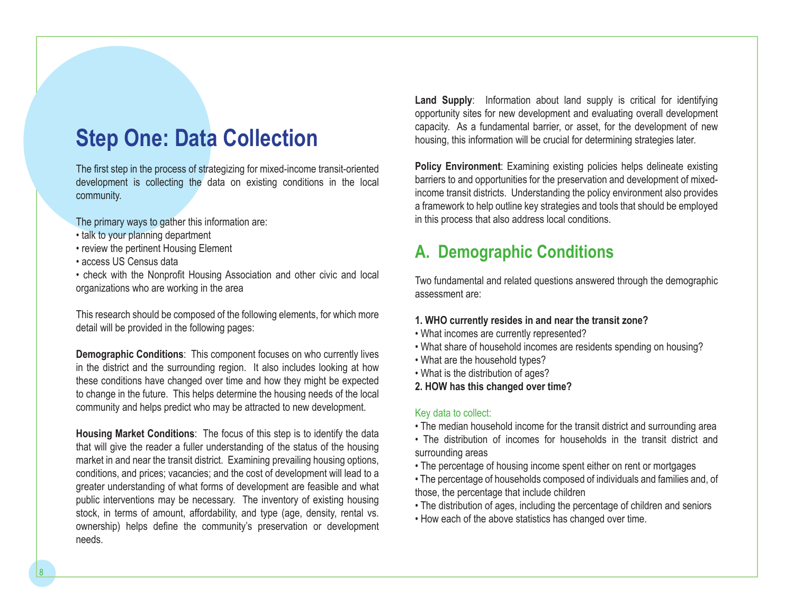# **Step One: Data Collection**

The first step in the process of strategizing for mixed-income transit-oriented development is collecting the data on existing conditions in the local community.

The primary ways to gather this information are:

- talk to your planning department
- review the pertinent Housing Element
- access US Census data
- check with the Nonprofit Housing Association and other civic and local organizations who are working in the area

This research should be composed of the following elements, for which more detail will be provided in the following pages:

**Demographic Conditions**: This component focuses on who currently lives in the district and the surrounding region. It also includes looking at how these conditions have changed over time and how they might be expected to change in the future. This helps determine the housing needs of the local community and helps predict who may be attracted to new development.

**Housing Market Conditions**: The focus of this step is to identify the data that will give the reader a fuller understanding of the status of the housing market in and near the transit district. Examining prevailing housing options, conditions, and prices; vacancies; and the cost of development will lead to a greater understanding of what forms of development are feasible and what public interventions may be necessary. The inventory of existing housing stock, in terms of amount, affordability, and type (age, density, rental vs. ownership) helps define the community's preservation or development needs.

Land Supply: Information about land supply is critical for identifying opportunity sites for new development and evaluating overall development capacity. As a fundamental barrier, or asset, for the development of new housing, this information will be crucial for determining strategies later.

**Policy Environment**: Examining existing policies helps delineate existing barriers to and opportunities for the preservation and development of mixedincome transit districts. Understanding the policy environment also provides a framework to help outline key strategies and tools that should be employed in this process that also address local conditions.

# **A. Demographic Conditions**

Two fundamental and related questions answered through the demographic assessment are:

#### **1. WHO currently resides in and near the transit zone?**

- What incomes are currently represented?
- What share of household incomes are residents spending on housing?
- What are the household types?
- What is the distribution of ages?
- **2. HOW has this changed over time?**

#### Key data to collect:

• The median household income for the transit district and surrounding area

• The distribution of incomes for households in the transit district and surrounding areas

- The percentage of housing income spent either on rent or mortgages
- The percentage of households composed of individuals and families and, of those, the percentage that include children
- The distribution of ages, including the percentage of children and seniors
- How each of the above statistics has changed over time.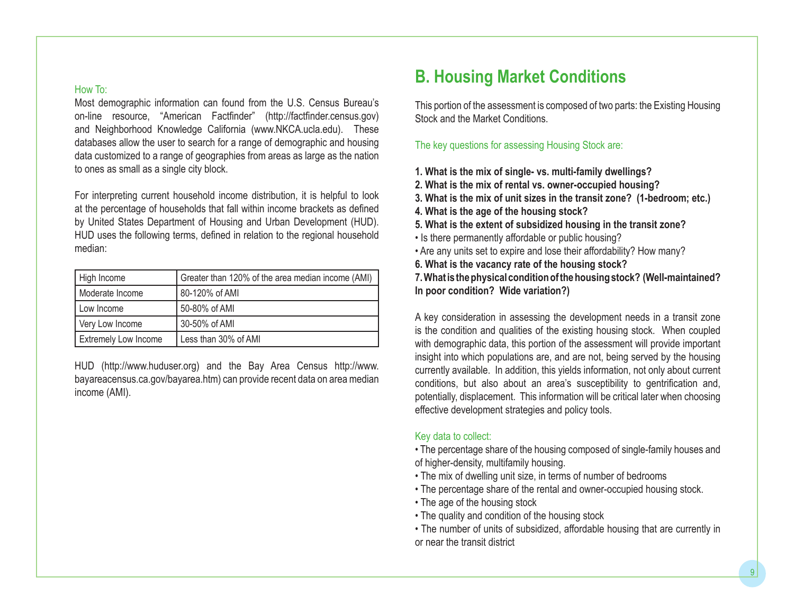#### How To:

Most demographic information can found from the U.S. Census Bureau's on-line resource, "American Factfinder" (http://factfinder.census.gov) and Neighborhood Knowledge California (www.NKCA.ucla.edu). These databases allow the user to search for a range of demographic and housing data customized to a range of geographies from areas as large as the nation to ones as small as a single city block.

For interpreting current household income distribution, it is helpful to look at the percentage of households that fall within income brackets as defined by United States Department of Housing and Urban Development (HUD). HUD uses the following terms, defined in relation to the regional household median:

| High Income                 | Greater than 120% of the area median income (AMI) |
|-----------------------------|---------------------------------------------------|
| Moderate Income             | 80-120% of AMI                                    |
| Low Income                  | 50-80% of AMI                                     |
| Very Low Income             | 30-50% of AMI                                     |
| <b>Extremely Low Income</b> | Less than 30% of AMI                              |

HUD (http://www.huduser.org) and the Bay Area Census http://www. bayareacensus.ca.gov/bayarea.htm) can provide recent data on area median income (AMI).

# **B. Housing Market Conditions**

This portion of the assessment is composed of two parts: the Existing Housing Stock and the Market Conditions.

#### The key questions for assessing Housing Stock are:

- **1. What is the mix of single- vs. multi-family dwellings?**
- **2. What is the mix of rental vs. owner-occupied housing?**
- **3. What is the mix of unit sizes in the transit zone? (1-bedroom; etc.)**
- **4. What is the age of the housing stock?**
- **5. What is the extent of subsidized housing in the transit zone?**
- Is there permanently affordable or public housing?
- Are any units set to expire and lose their affordability? How many?
- **6. What is the vacancy rate of the housing stock?**

**7. What is the physical condition of the housing stock? (Well-maintained? In poor condition? Wide variation?)**

A key consideration in assessing the development needs in a transit zone is the condition and qualities of the existing housing stock. When coupled with demographic data, this portion of the assessment will provide important insight into which populations are, and are not, being served by the housing currently available. In addition, this yields information, not only about current conditions, but also about an area's susceptibility to gentrification and, potentially, displacement. This information will be critical later when choosing effective development strategies and policy tools.

#### Key data to collect:

- The percentage share of the housing composed of single-family houses and of higher-density, multifamily housing.
- The mix of dwelling unit size, in terms of number of bedrooms
- The percentage share of the rental and owner-occupied housing stock.
- The age of the housing stock
- The quality and condition of the housing stock
- The number of units of subsidized, affordable housing that are currently in or near the transit district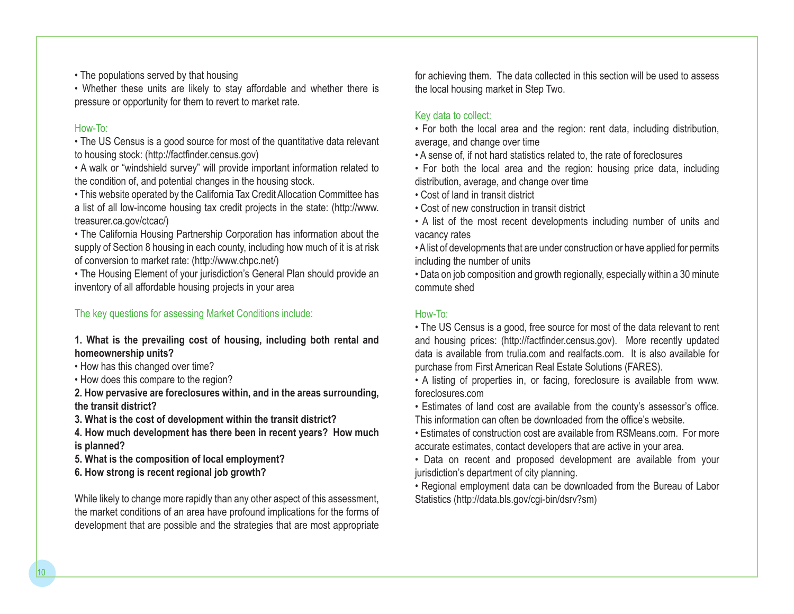• The populations served by that housing

• Whether these units are likely to stay affordable and whether there is pressure or opportunity for them to revert to market rate.

# How-To:

• The US Census is a good source for most of the quantitative data relevant to housing stock: (http://factfinder.census.gov)

• A walk or "windshield survey" will provide important information related to the condition of, and potential changes in the housing stock.

• This website operated by the California Tax Credit Allocation Committee has a list of all low-income housing tax credit projects in the state: (http://www. treasurer.ca.gov/ctcac/)

• The California Housing Partnership Corporation has information about the supply of Section 8 housing in each county, including how much of it is at risk of conversion to market rate: (http://www.chpc.net/)

• The Housing Element of your jurisdiction's General Plan should provide an inventory of all affordable housing projects in your area

#### The key questions for assessing Market Conditions include:

#### **1. What is the prevailing cost of housing, including both rental and homeownership units?**

- How has this changed over time?
- How does this compare to the region?

**2. How pervasive are foreclosures within, and in the areas surrounding, the transit district?**

**3. What is the cost of development within the transit district?** 

**4. How much development has there been in recent years? How much is planned?**

- **5. What is the composition of local employment?**
- **6. How strong is recent regional job growth?**

While likely to change more rapidly than any other aspect of this assessment, the market conditions of an area have profound implications for the forms of development that are possible and the strategies that are most appropriate

for achieving them. The data collected in this section will be used to assess the local housing market in Step Two.

#### Key data to collect:

• For both the local area and the region: rent data, including distribution, average, and change over time

• A sense of, if not hard statistics related to, the rate of foreclosures

• For both the local area and the region: housing price data, including distribution, average, and change over time

- Cost of land in transit district
- Cost of new construction in transit district
- A list of the most recent developments including number of units and vacancy rates

• A list of developments that are under construction or have applied for permits including the number of units

• Data on job composition and growth regionally, especially within a 30 minute commute shed

#### How-To:

• The US Census is a good, free source for most of the data relevant to rent and housing prices: (http://factfinder.census.gov). More recently updated data is available from trulia.com and realfacts.com. It is also available for purchase from First American Real Estate Solutions (FARES).

• A listing of properties in, or facing, foreclosure is available from www. foreclosures.com

• Estimates of land cost are available from the county's assessor's office. This information can often be downloaded from the office's website.

• Estimates of construction cost are available from RSMeans.com. For more accurate estimates, contact developers that are active in your area.

• Data on recent and proposed development are available from your jurisdiction's department of city planning.

• Regional employment data can be downloaded from the Bureau of Labor Statistics (http://data.bls.gov/cgi-bin/dsrv?sm)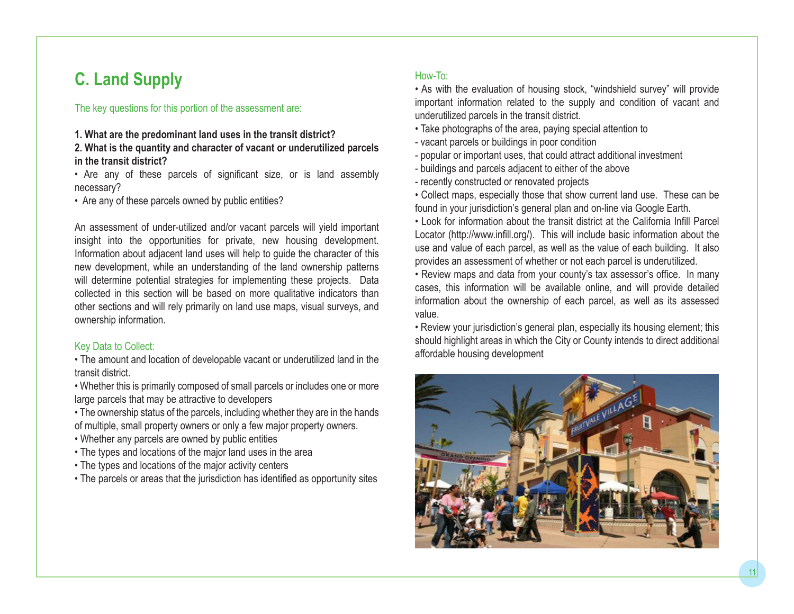# **C. Land Supply**

The key questions for this portion of the assessment are:

**1. What are the predominant land uses in the transit district?**

**2. What is the quantity and character of vacant or underutilized parcels in the transit district?**

• Are any of these parcels of significant size, or is land assembly necessary?

• Are any of these parcels owned by public entities?

An assessment of under-utilized and/or vacant parcels will yield important insight into the opportunities for private, new housing development. Information about adjacent land uses will help to guide the character of this new development, while an understanding of the land ownership patterns will determine potential strategies for implementing these projects. Data collected in this section will be based on more qualitative indicators than other sections and will rely primarily on land use maps, visual surveys, and ownership information.

#### Key Data to Collect:

• The amount and location of developable vacant or underutilized land in the transit district.

• Whether this is primarily composed of small parcels or includes one or more large parcels that may be attractive to developers

• The ownership status of the parcels, including whether they are in the hands of multiple, small property owners or only a few major property owners.

- Whether any parcels are owned by public entities
- The types and locations of the major land uses in the area
- The types and locations of the major activity centers
- The parcels or areas that the jurisdiction has identified as opportunity sites

# How-To:

• As with the evaluation of housing stock, "windshield survey" will provide important information related to the supply and condition of vacant and underutilized parcels in the transit district.

- Take photographs of the area, paying special attention to
- vacant parcels or buildings in poor condition
- popular or important uses, that could attract additional investment
- buildings and parcels adjacent to either of the above
- recently constructed or renovated projects
- Collect maps, especially those that show current land use. These can be found in your jurisdiction's general plan and on-line via Google Earth.
- Look for information about the transit district at the California Infill Parcel Locator (http://www.infill.org/). This will include basic information about the use and value of each parcel, as well as the value of each building. It also provides an assessment of whether or not each parcel is underutilized.

• Review maps and data from your county's tax assessor's office. In many cases, this information will be available online, and will provide detailed information about the ownership of each parcel, as well as its assessed value.

• Review your jurisdiction's general plan, especially its housing element; this should highlight areas in which the City or County intends to direct additional affordable housing development

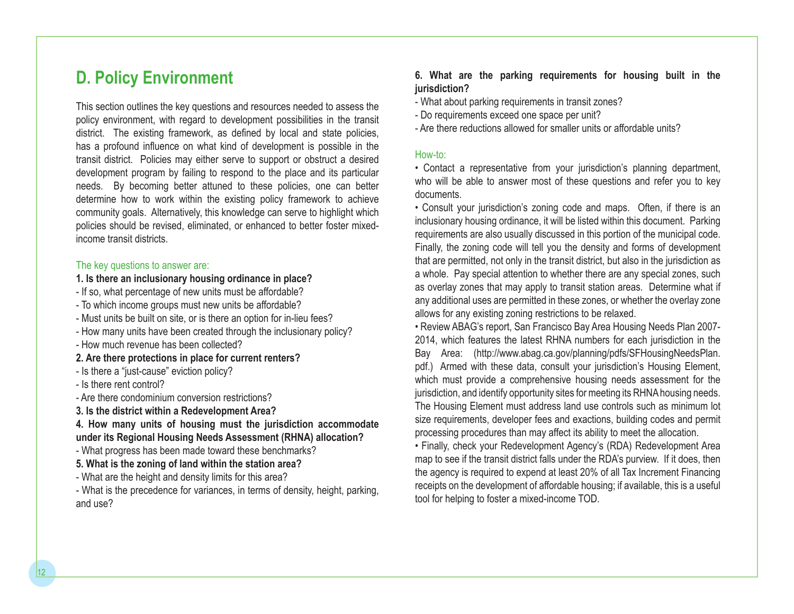# **D. Policy Environment**

This section outlines the key questions and resources needed to assess the policy environment, with regard to development possibilities in the transit district. The existing framework, as defined by local and state policies, has a profound influence on what kind of development is possible in the transit district. Policies may either serve to support or obstruct a desired development program by failing to respond to the place and its particular needs. By becoming better attuned to these policies, one can better determine how to work within the existing policy framework to achieve community goals. Alternatively, this knowledge can serve to highlight which policies should be revised, eliminated, or enhanced to better foster mixedincome transit districts.

#### The key questions to answer are:

**1. Is there an inclusionary housing ordinance in place?**

- If so, what percentage of new units must be affordable?
- To which income groups must new units be affordable?
- Must units be built on site, or is there an option for in-lieu fees?
- How many units have been created through the inclusionary policy?
- How much revenue has been collected?
- **2. Are there protections in place for current renters?**
- Is there a "just-cause" eviction policy?
- Is there rent control?
- Are there condominium conversion restrictions?
- **3. Is the district within a Redevelopment Area?**
- **4. How many units of housing must the jurisdiction accommodate under its Regional Housing Needs Assessment (RHNA) allocation?**
- What progress has been made toward these benchmarks?
- **5. What is the zoning of land within the station area?**
- What are the height and density limits for this area?

- What is the precedence for variances, in terms of density, height, parking, and use?

#### **6. What are the parking requirements for housing built in the jurisdiction?**

- What about parking requirements in transit zones?
- Do requirements exceed one space per unit?
- Are there reductions allowed for smaller units or affordable units?

#### How-to:

• Contact a representative from your jurisdiction's planning department, who will be able to answer most of these questions and refer you to key documents.

• Consult your jurisdiction's zoning code and maps. Often, if there is an inclusionary housing ordinance, it will be listed within this document. Parking requirements are also usually discussed in this portion of the municipal code. Finally, the zoning code will tell you the density and forms of development that are permitted, not only in the transit district, but also in the jurisdiction as a whole. Pay special attention to whether there are any special zones, such as overlay zones that may apply to transit station areas. Determine what if any additional uses are permitted in these zones, or whether the overlay zone allows for any existing zoning restrictions to be relaxed.

• Review ABAG's report, San Francisco Bay Area Housing Needs Plan 2007- 2014, which features the latest RHNA numbers for each jurisdiction in the Bay Area: (http://www.abag.ca.gov/planning/pdfs/SFHousingNeedsPlan. pdf.) Armed with these data, consult your jurisdiction's Housing Element, which must provide a comprehensive housing needs assessment for the jurisdiction, and identify opportunity sites for meeting its RHNA housing needs. The Housing Element must address land use controls such as minimum lot size requirements, developer fees and exactions, building codes and permit processing procedures than may affect its ability to meet the allocation.

• Finally, check your Redevelopment Agency's (RDA) Redevelopment Area map to see if the transit district falls under the RDA's purview. If it does, then the agency is required to expend at least 20% of all Tax Increment Financing receipts on the development of affordable housing; if available, this is a useful tool for helping to foster a mixed-income TOD.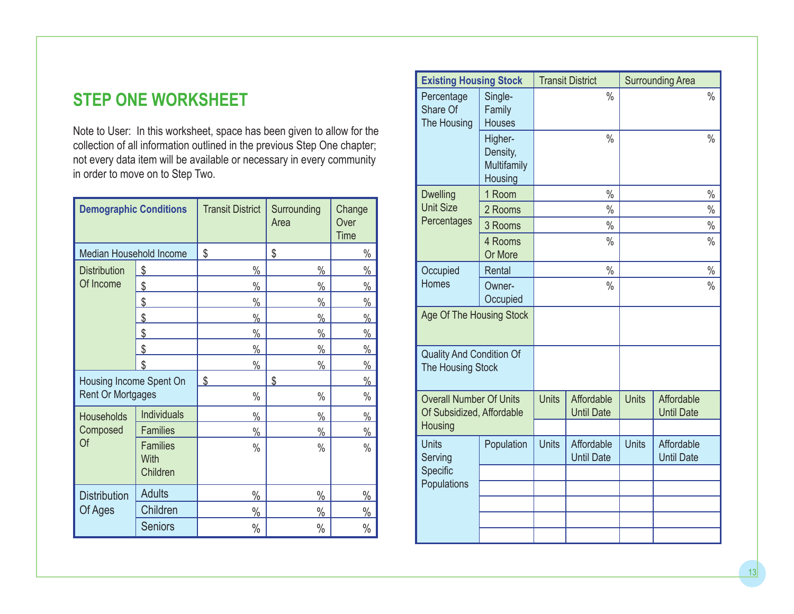# **STEP ONE WORKSHEET**

Note to User: In this worksheet, space has been given to allow for the collection of all information outlined in the previous Step One chapter; not every data item will be available or necessary in every community in order to move on to Step Two.

| <b>Demographic Conditions</b> |                                     | <b>Transit District</b> | Surrounding<br>Area | Change<br>Over<br>Time |
|-------------------------------|-------------------------------------|-------------------------|---------------------|------------------------|
| Median Household Income       |                                     | \$                      | \$                  | $\%$                   |
| <b>Distribution</b>           | \$                                  | $\%$                    | $\%$                | $\%$                   |
| Of Income                     | \$                                  | $\%$                    | $\%$                | $\%$                   |
|                               | \$                                  | $\%$                    | $\%$                | $\%$                   |
|                               | \$                                  | $\%$                    | $\%$                | $\frac{0}{0}$          |
|                               | \$                                  | $\%$                    | $\frac{0}{0}$       | $\frac{0}{0}$          |
|                               | \$                                  | $\frac{0}{0}$           | $\frac{0}{0}$       | $\frac{0}{0}$          |
| \$                            |                                     | $\frac{0}{0}$           | $\frac{0}{0}$       | $\%$                   |
| Housing Income Spent On       |                                     | \$                      | \$                  | $\%$                   |
| <b>Rent Or Mortgages</b>      |                                     | $\%$                    | $\%$                | $\%$                   |
| Households                    | Individuals                         | $\%$                    | $\%$                | $\frac{0}{0}$          |
| Composed                      | <b>Families</b>                     | $\frac{0}{0}$           | $\frac{0}{0}$       | $\%$                   |
| Of                            | <b>Families</b><br>With<br>Children | $\frac{0}{0}$           | $\%$                | $\%$                   |
| <b>Distribution</b>           | <b>Adults</b>                       | $\frac{0}{0}$           | $\frac{0}{0}$       | $\frac{0}{0}$          |
| Of Ages                       | Children                            | $\%$                    | $\%$                | $\%$                   |
|                               | <b>Seniors</b>                      | $\%$                    | $\%$                | $\%$                   |

|                                       | <b>Existing Housing Stock</b>                               |               | <b>Transit District</b>         |              | <b>Surrounding Area</b>         |               |
|---------------------------------------|-------------------------------------------------------------|---------------|---------------------------------|--------------|---------------------------------|---------------|
| Percentage<br>Share Of<br>The Housing | Single-<br>Family<br><b>Houses</b>                          | $\frac{0}{0}$ |                                 |              |                                 | $\frac{0}{0}$ |
|                                       | Higher-<br>Density,<br><b>Multifamily</b><br>Housing        |               | $\frac{0}{0}$                   |              |                                 | $\frac{0}{0}$ |
| <b>Dwelling</b>                       | 1 Room                                                      |               | $\frac{0}{0}$                   |              |                                 | $\frac{0}{0}$ |
| <b>Unit Size</b>                      | 2 Rooms                                                     |               | $\frac{0}{0}$                   |              |                                 | $\frac{0}{0}$ |
| Percentages                           | 3 Rooms                                                     |               | $\frac{0}{0}$                   |              |                                 | $\frac{0}{0}$ |
|                                       | 4 Rooms<br>Or More                                          |               | $\frac{0}{0}$                   |              |                                 | $\frac{0}{0}$ |
| Occupied                              | Rental                                                      | $\frac{0}{0}$ |                                 |              |                                 | $\frac{0}{0}$ |
| <b>Homes</b>                          | Owner-<br>Occupied                                          | $\frac{0}{0}$ |                                 |              |                                 | $\frac{0}{0}$ |
|                                       | Age Of The Housing Stock                                    |               |                                 |              |                                 |               |
|                                       | <b>Quality And Condition Of</b><br>The Housing Stock        |               |                                 |              |                                 |               |
|                                       | <b>Overall Number Of Units</b><br>Of Subsidized, Affordable |               | Affordable<br><b>Until Date</b> | Units        | Affordable<br><b>Until Date</b> |               |
| Housing                               |                                                             |               |                                 |              |                                 |               |
| <b>Units</b><br>Serving               | Population                                                  | <b>Units</b>  | Affordable<br><b>Until Date</b> | <b>Units</b> | Affordable<br><b>Until Date</b> |               |
| Specific                              |                                                             |               |                                 |              |                                 |               |
| Populations                           |                                                             |               |                                 |              |                                 |               |
|                                       |                                                             |               |                                 |              |                                 |               |
|                                       |                                                             |               |                                 |              |                                 |               |
|                                       |                                                             |               |                                 |              |                                 |               |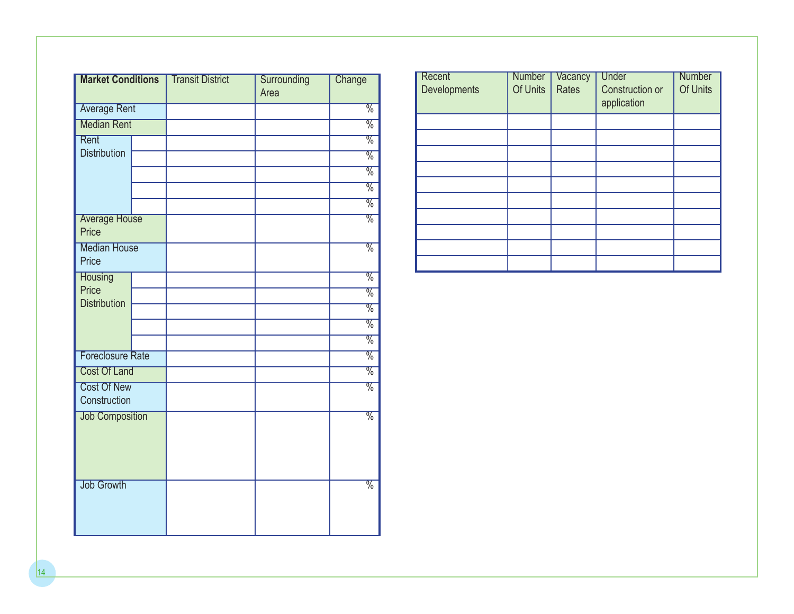|                              |  | <b>Market Conditions</b>   Transit District | Surrounding | Change          |
|------------------------------|--|---------------------------------------------|-------------|-----------------|
|                              |  |                                             | Area        |                 |
| <b>Average Rent</b>          |  |                                             |             | $\overline{\%}$ |
| <b>Median Rent</b>           |  |                                             |             | $\frac{0}{0}$   |
| Rent                         |  |                                             |             | $\frac{0}{0}$   |
| <b>Distribution</b>          |  |                                             |             | $\frac{1}{2}$   |
|                              |  |                                             |             | $\frac{1}{2}$   |
|                              |  |                                             |             | $\frac{0}{0}$   |
|                              |  |                                             |             | $\frac{1}{2}$   |
| <b>Average House</b>         |  |                                             |             | $\frac{1}{2}$   |
| Price                        |  |                                             |             |                 |
| <b>Median House</b><br>Price |  |                                             |             | $\frac{0}{0}$   |
| <b>Housing</b>               |  |                                             |             | $\frac{1}{2}$   |
| Price                        |  |                                             |             | $\frac{0}{6}$   |
| <b>Distribution</b>          |  |                                             |             | $\frac{1}{2}$   |
|                              |  |                                             |             | $\frac{1}{2}$   |
|                              |  |                                             |             | $\frac{0}{0}$   |
| <b>Foreclosure Rate</b>      |  |                                             |             | $\frac{0}{0}$   |
| <b>Cost Of Land</b>          |  |                                             |             | $\frac{0}{0}$   |
| <b>Cost Of New</b>           |  |                                             |             | $\frac{0}{0}$   |
| Construction                 |  |                                             |             |                 |
| <b>Job Composition</b>       |  |                                             |             | $\frac{0}{0}$   |
| <b>Job Growth</b>            |  |                                             |             | $\frac{1}{2}$   |

| Recent<br>Developments | <b>Number</b><br>Of Units | Vacancy<br>Rates | <b>Under</b><br>Construction or<br>application | <b>Number</b><br>Of Units |
|------------------------|---------------------------|------------------|------------------------------------------------|---------------------------|
|                        |                           |                  |                                                |                           |
|                        |                           |                  |                                                |                           |
|                        |                           |                  |                                                |                           |
|                        |                           |                  |                                                |                           |
|                        |                           |                  |                                                |                           |
|                        |                           |                  |                                                |                           |
|                        |                           |                  |                                                |                           |
|                        |                           |                  |                                                |                           |
|                        |                           |                  |                                                |                           |
|                        |                           |                  |                                                |                           |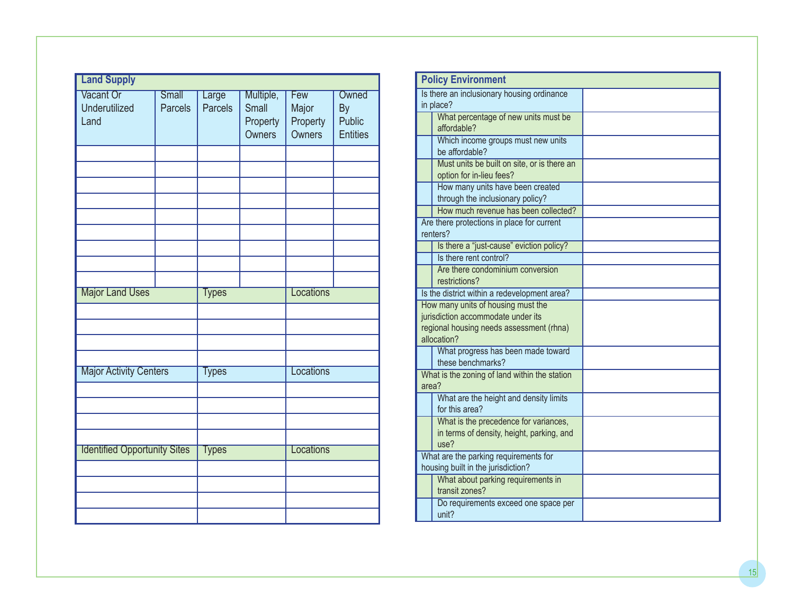| <b>Land Supply</b>                  |                  |                         |                                          |                                    |                                                        |
|-------------------------------------|------------------|-------------------------|------------------------------------------|------------------------------------|--------------------------------------------------------|
| Vacant Or<br>Underutilized<br>Land  | Small<br>Parcels | Large<br><b>Parcels</b> | Multiple,<br>Small<br>Property<br>Owners | Few<br>Major<br>Property<br>Owners | Owned<br><b>By</b><br><b>Public</b><br><b>Entities</b> |
|                                     |                  |                         |                                          |                                    |                                                        |
|                                     |                  |                         |                                          |                                    |                                                        |
|                                     |                  |                         |                                          |                                    |                                                        |
|                                     |                  |                         |                                          |                                    |                                                        |
|                                     |                  |                         |                                          |                                    |                                                        |
|                                     |                  |                         |                                          |                                    |                                                        |
|                                     |                  |                         |                                          |                                    |                                                        |
|                                     |                  |                         |                                          |                                    |                                                        |
| <b>Major Land Uses</b>              |                  | <b>Types</b>            |                                          | Locations                          |                                                        |
|                                     |                  |                         |                                          |                                    |                                                        |
|                                     |                  |                         |                                          |                                    |                                                        |
|                                     |                  |                         |                                          |                                    |                                                        |
| <b>Major Activity Centers</b>       |                  | <b>Types</b>            |                                          | Locations                          |                                                        |
|                                     |                  |                         |                                          |                                    |                                                        |
|                                     |                  |                         |                                          |                                    |                                                        |
|                                     |                  |                         |                                          |                                    |                                                        |
| <b>Identified Opportunity Sites</b> |                  | <b>Types</b>            |                                          | Locations                          |                                                        |
|                                     |                  |                         |                                          |                                    |                                                        |
|                                     |                  |                         |                                          |                                    |                                                        |
|                                     |                  |                         |                                          |                                    |                                                        |
|                                     |                  |                         |                                          |                                    |                                                        |

|       | <b>Policy Environment</b>                                                          |  |
|-------|------------------------------------------------------------------------------------|--|
|       | Is there an inclusionary housing ordinance                                         |  |
|       | in place?                                                                          |  |
|       | What percentage of new units must be                                               |  |
|       | affordable?                                                                        |  |
|       | Which income groups must new units                                                 |  |
|       | be affordable?                                                                     |  |
|       | Must units be built on site, or is there an<br>option for in-lieu fees?            |  |
|       | How many units have been created                                                   |  |
|       | through the inclusionary policy?                                                   |  |
|       | How much revenue has been collected?                                               |  |
|       | Are there protections in place for current                                         |  |
|       | renters?                                                                           |  |
|       | Is there a "just-cause" eviction policy?                                           |  |
|       | Is there rent control?                                                             |  |
|       | Are there condominium conversion                                                   |  |
|       | restrictions?                                                                      |  |
|       | Is the district within a redevelopment area?<br>How many units of housing must the |  |
|       | jurisdiction accommodate under its                                                 |  |
|       | regional housing needs assessment (rhna)                                           |  |
|       | allocation?                                                                        |  |
|       | What progress has been made toward                                                 |  |
|       | these benchmarks?                                                                  |  |
|       | What is the zoning of land within the station                                      |  |
| area? |                                                                                    |  |
|       | What are the height and density limits                                             |  |
|       | for this area?                                                                     |  |
|       | What is the precedence for variances,                                              |  |
|       | in terms of density, height, parking, and                                          |  |
|       | use?                                                                               |  |
|       | What are the parking requirements for<br>housing built in the jurisdiction?        |  |
|       | What about parking requirements in                                                 |  |
|       | transit zones?                                                                     |  |
|       | Do requirements exceed one space per                                               |  |
|       | unit?                                                                              |  |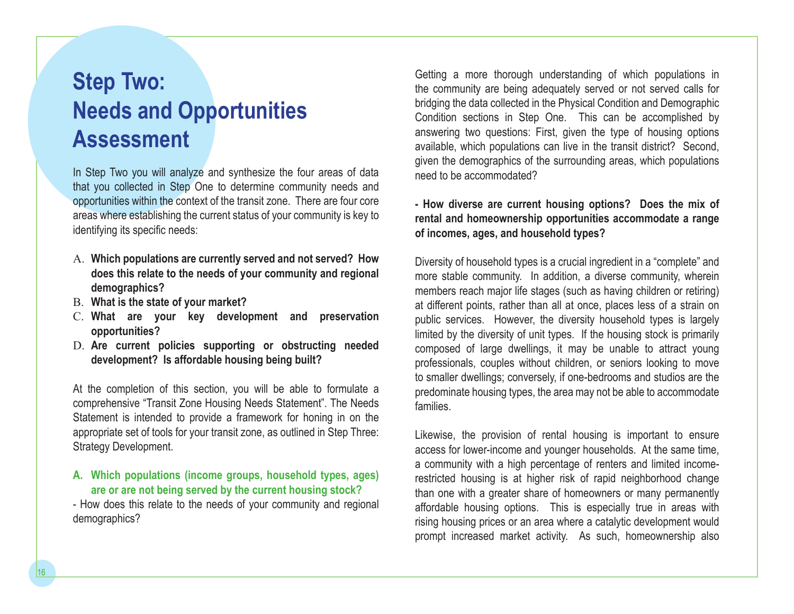# **Step Two: Needs and Opportunities Assessment**

In Step Two you will analyze and synthesize the four areas of data that you collected in Step One to determine community needs and opportunities within the context of the transit zone. There are four core areas where establishing the current status of your community is key to identifying its specific needs:

- A. **Which populations are currently served and not served? How does this relate to the needs of your community and regional demographics?**
- B. **What is the state of your market?**
- C. **What are your key development and preservation opportunities?**
- D. **Are current policies supporting or obstructing needed development? Is affordable housing being built?**

At the completion of this section, you will be able to formulate a comprehensive "Transit Zone Housing Needs Statement". The Needs Statement is intended to provide a framework for honing in on the appropriate set of tools for your transit zone, as outlined in Step Three: Strategy Development.

# **A. Which populations (income groups, household types, ages) are or are not being served by the current housing stock?**

- How does this relate to the needs of your community and regional demographics?

Getting a more thorough understanding of which populations in the community are being adequately served or not served calls for bridging the data collected in the Physical Condition and Demographic Condition sections in Step One. This can be accomplished by answering two questions: First, given the type of housing options available, which populations can live in the transit district? Second, given the demographics of the surrounding areas, which populations need to be accommodated?

# **- How diverse are current housing options? Does the mix of rental and homeownership opportunities accommodate a range of incomes, ages, and household types?**

Diversity of household types is a crucial ingredient in a "complete" and more stable community. In addition, a diverse community, wherein members reach major life stages (such as having children or retiring) at different points, rather than all at once, places less of a strain on public services. However, the diversity household types is largely limited by the diversity of unit types. If the housing stock is primarily composed of large dwellings, it may be unable to attract young professionals, couples without children, or seniors looking to move to smaller dwellings; conversely, if one-bedrooms and studios are the predominate housing types, the area may not be able to accommodate families.

Likewise, the provision of rental housing is important to ensure access for lower-income and younger households. At the same time, a community with a high percentage of renters and limited incomerestricted housing is at higher risk of rapid neighborhood change than one with a greater share of homeowners or many permanently affordable housing options. This is especially true in areas with rising housing prices or an area where a catalytic development would prompt increased market activity. As such, homeownership also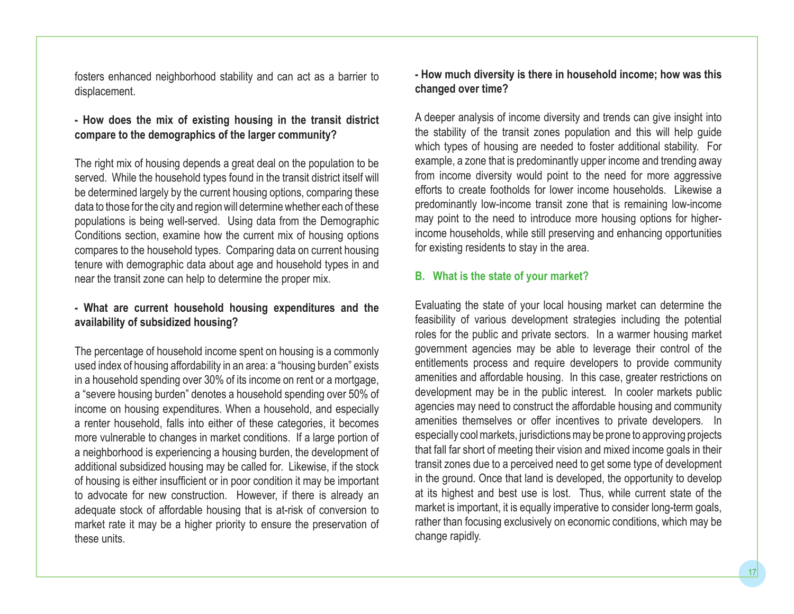fosters enhanced neighborhood stability and can act as a barrier to displacement.

# **- How does the mix of existing housing in the transit district compare to the demographics of the larger community?**

The right mix of housing depends a great deal on the population to be served. While the household types found in the transit district itself will be determined largely by the current housing options, comparing these data to those for the city and region will determine whether each of these populations is being well-served. Using data from the Demographic Conditions section, examine how the current mix of housing options compares to the household types. Comparing data on current housing tenure with demographic data about age and household types in and near the transit zone can help to determine the proper mix.

# **- What are current household housing expenditures and the availability of subsidized housing?**

The percentage of household income spent on housing is a commonly used index of housing affordability in an area: a "housing burden" exists in a household spending over 30% of its income on rent or a mortgage, a "severe housing burden" denotes a household spending over 50% of income on housing expenditures. When a household, and especially a renter household, falls into either of these categories, it becomes more vulnerable to changes in market conditions. If a large portion of a neighborhood is experiencing a housing burden, the development of additional subsidized housing may be called for. Likewise, if the stock of housing is either insufficient or in poor condition it may be important to advocate for new construction. However, if there is already an adequate stock of affordable housing that is at-risk of conversion to market rate it may be a higher priority to ensure the preservation of these units.

# **- How much diversity is there in household income; how was this changed over time?**

A deeper analysis of income diversity and trends can give insight into the stability of the transit zones population and this will help guide which types of housing are needed to foster additional stability. For example, a zone that is predominantly upper income and trending away from income diversity would point to the need for more aggressive efforts to create footholds for lower income households. Likewise a predominantly low-income transit zone that is remaining low-income may point to the need to introduce more housing options for higherincome households, while still preserving and enhancing opportunities for existing residents to stay in the area.

#### **B. What is the state of your market?**

Evaluating the state of your local housing market can determine the feasibility of various development strategies including the potential roles for the public and private sectors. In a warmer housing market government agencies may be able to leverage their control of the entitlements process and require developers to provide community amenities and affordable housing. In this case, greater restrictions on development may be in the public interest. In cooler markets public agencies may need to construct the affordable housing and community amenities themselves or offer incentives to private developers. In especially cool markets, jurisdictions may be prone to approving projects that fall far short of meeting their vision and mixed income goals in their transit zones due to a perceived need to get some type of development in the ground. Once that land is developed, the opportunity to develop at its highest and best use is lost. Thus, while current state of the market is important, it is equally imperative to consider long-term goals, rather than focusing exclusively on economic conditions, which may be change rapidly.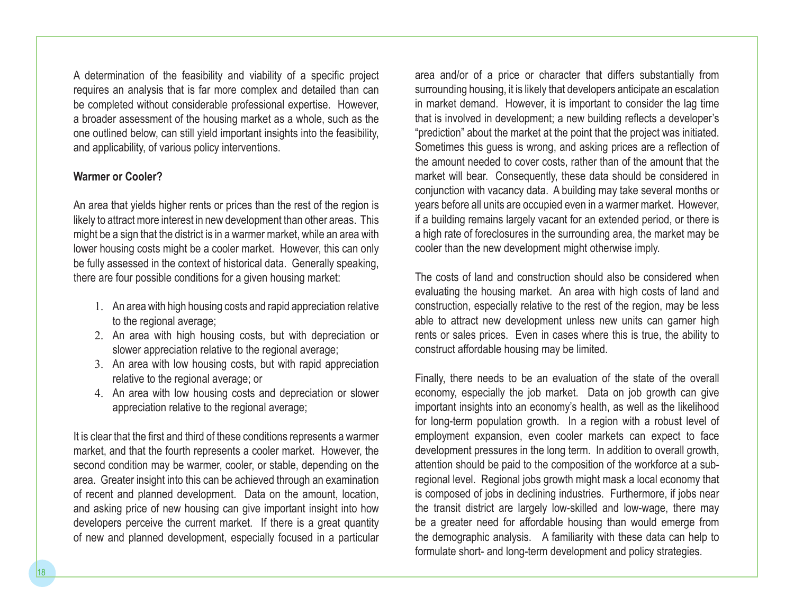A determination of the feasibility and viability of a specific project requires an analysis that is far more complex and detailed than can be completed without considerable professional expertise. However, a broader assessment of the housing market as a whole, such as the one outlined below, can still yield important insights into the feasibility, and applicability, of various policy interventions.

#### **Warmer or Cooler?**

An area that yields higher rents or prices than the rest of the region is likely to attract more interest in new development than other areas. This might be a sign that the district is in a warmer market, while an area with lower housing costs might be a cooler market. However, this can only be fully assessed in the context of historical data. Generally speaking, there are four possible conditions for a given housing market:

- 1. An area with high housing costs and rapid appreciation relative to the regional average;
- 2. An area with high housing costs, but with depreciation or slower appreciation relative to the regional average;
- 3. An area with low housing costs, but with rapid appreciation relative to the regional average; or
- 4. An area with low housing costs and depreciation or slower appreciation relative to the regional average;

It is clear that the first and third of these conditions represents a warmer market, and that the fourth represents a cooler market. However, the second condition may be warmer, cooler, or stable, depending on the area. Greater insight into this can be achieved through an examination of recent and planned development. Data on the amount, location, and asking price of new housing can give important insight into how developers perceive the current market. If there is a great quantity of new and planned development, especially focused in a particular

area and/or of a price or character that differs substantially from surrounding housing, it is likely that developers anticipate an escalation in market demand. However, it is important to consider the lag time that is involved in development; a new building reflects a developer's "prediction" about the market at the point that the project was initiated. Sometimes this guess is wrong, and asking prices are a reflection of the amount needed to cover costs, rather than of the amount that the market will bear. Consequently, these data should be considered in conjunction with vacancy data. A building may take several months or years before all units are occupied even in a warmer market. However, if a building remains largely vacant for an extended period, or there is a high rate of foreclosures in the surrounding area, the market may be cooler than the new development might otherwise imply.

The costs of land and construction should also be considered when evaluating the housing market. An area with high costs of land and construction, especially relative to the rest of the region, may be less able to attract new development unless new units can garner high rents or sales prices. Even in cases where this is true, the ability to construct affordable housing may be limited.

Finally, there needs to be an evaluation of the state of the overall economy, especially the job market. Data on job growth can give important insights into an economy's health, as well as the likelihood for long-term population growth. In a region with a robust level of employment expansion, even cooler markets can expect to face development pressures in the long term. In addition to overall growth, attention should be paid to the composition of the workforce at a subregional level. Regional jobs growth might mask a local economy that is composed of jobs in declining industries. Furthermore, if jobs near the transit district are largely low-skilled and low-wage, there may be a greater need for affordable housing than would emerge from the demographic analysis. A familiarity with these data can help to formulate short- and long-term development and policy strategies.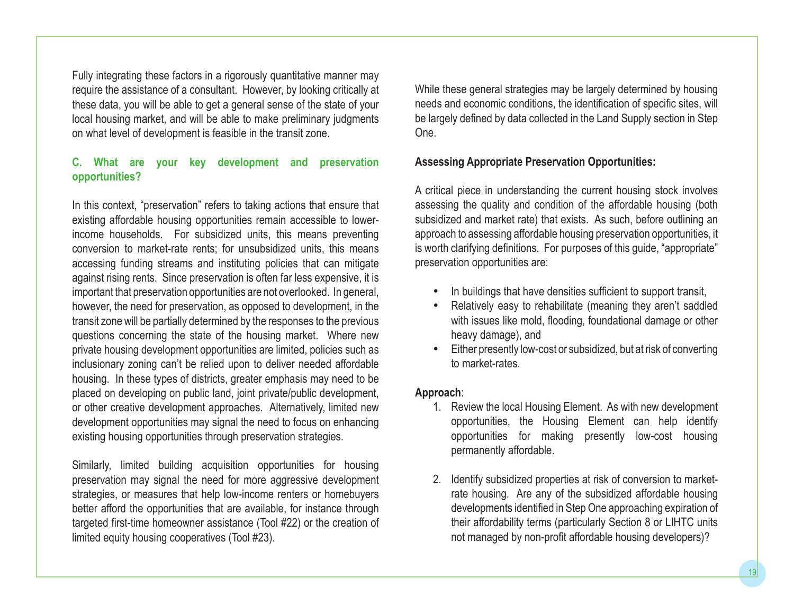Fully integrating these factors in a rigorously quantitative manner may require the assistance of a consultant. However, by looking critically at these data, you will be able to get a general sense of the state of your local housing market, and will be able to make preliminary judgments on what level of development is feasible in the transit zone.

# **C. What are your key development and preservation opportunities?**

In this context, "preservation" refers to taking actions that ensure that existing affordable housing opportunities remain accessible to lowerincome households. For subsidized units, this means preventing conversion to market-rate rents; for unsubsidized units, this means accessing funding streams and instituting policies that can mitigate against rising rents. Since preservation is often far less expensive, it is important that preservation opportunities are not overlooked. In general, however, the need for preservation, as opposed to development, in the transit zone will be partially determined by the responses to the previous questions concerning the state of the housing market. Where new private housing development opportunities are limited, policies such as inclusionary zoning can't be relied upon to deliver needed affordable housing. In these types of districts, greater emphasis may need to be placed on developing on public land, joint private/public development, or other creative development approaches. Alternatively, limited new development opportunities may signal the need to focus on enhancing existing housing opportunities through preservation strategies.

Similarly, limited building acquisition opportunities for housing preservation may signal the need for more aggressive development strategies, or measures that help low-income renters or homebuyers better afford the opportunities that are available, for instance through targeted first-time homeowner assistance (Tool #22) or the creation of limited equity housing cooperatives (Tool #23).

While these general strategies may be largely determined by housing needs and economic conditions, the identification of specific sites, will be largely defined by data collected in the Land Supply section in Step One.

### **Assessing Appropriate Preservation Opportunities:**

A critical piece in understanding the current housing stock involves assessing the quality and condition of the affordable housing (both subsidized and market rate) that exists. As such, before outlining an approach to assessing affordable housing preservation opportunities, it is worth clarifying definitions. For purposes of this guide, "appropriate" preservation opportunities are:

- In buildings that have densities sufficient to support transit,
- Relatively easy to rehabilitate (meaning they aren't saddled with issues like mold, flooding, foundational damage or other heavy damage), and
- Either presently low-cost or subsidized, but at risk of converting to market-rates.

#### **Approach**:

- 1. Review the local Housing Element. As with new development opportunities, the Housing Element can help identify opportunities for making presently low-cost housing permanently affordable.
- 2. Identify subsidized properties at risk of conversion to marketrate housing. Are any of the subsidized affordable housing developments identified in Step One approaching expiration of their affordability terms (particularly Section 8 or LIHTC units not managed by non-profit affordable housing developers)?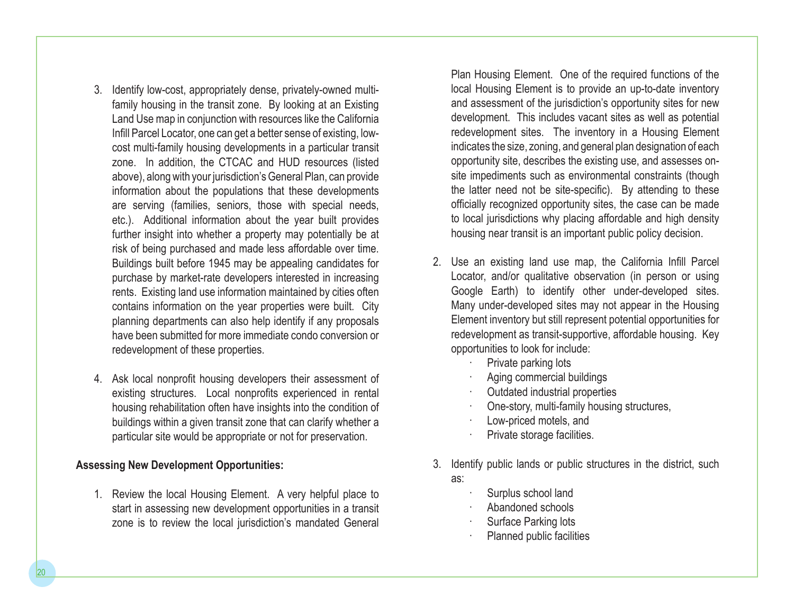- 3. Identify low-cost, appropriately dense, privately-owned multifamily housing in the transit zone. By looking at an Existing Land Use map in conjunction with resources like the California Infill Parcel Locator, one can get a better sense of existing, lowcost multi-family housing developments in a particular transit zone. In addition, the CTCAC and HUD resources (listed above), along with your jurisdiction's General Plan, can provide information about the populations that these developments are serving (families, seniors, those with special needs, etc.). Additional information about the year built provides further insight into whether a property may potentially be at risk of being purchased and made less affordable over time. Buildings built before 1945 may be appealing candidates for purchase by market-rate developers interested in increasing rents. Existing land use information maintained by cities often contains information on the year properties were built. City planning departments can also help identify if any proposals have been submitted for more immediate condo conversion or redevelopment of these properties.
- 4. Ask local nonprofit housing developers their assessment of existing structures. Local nonprofits experienced in rental housing rehabilitation often have insights into the condition of buildings within a given transit zone that can clarify whether a particular site would be appropriate or not for preservation.

#### **Assessing New Development Opportunities:**

1. Review the local Housing Element. A very helpful place to start in assessing new development opportunities in a transit zone is to review the local jurisdiction's mandated General

Plan Housing Element. One of the required functions of the local Housing Element is to provide an up-to-date inventory and assessment of the jurisdiction's opportunity sites for new development. This includes vacant sites as well as potential redevelopment sites. The inventory in a Housing Element indicates the size, zoning, and general plan designation of each opportunity site, describes the existing use, and assesses onsite impediments such as environmental constraints (though the latter need not be site-specific). By attending to these officially recognized opportunity sites, the case can be made to local jurisdictions why placing affordable and high density housing near transit is an important public policy decision.

- 2. Use an existing land use map, the California Infill Parcel Locator, and/or qualitative observation (in person or using Google Earth) to identify other under-developed sites. Many under-developed sites may not appear in the Housing Element inventory but still represent potential opportunities for redevelopment as transit-supportive, affordable housing. Key opportunities to look for include:
	- Private parking lots
	- Aging commercial buildings
	- Outdated industrial properties
	- · One-story, multi-family housing structures,
	- Low-priced motels, and
	- Private storage facilities.
- 3. Identify public lands or public structures in the district, such as:
	- Surplus school land
	- · Abandoned schools
	- Surface Parking lots
	- Planned public facilities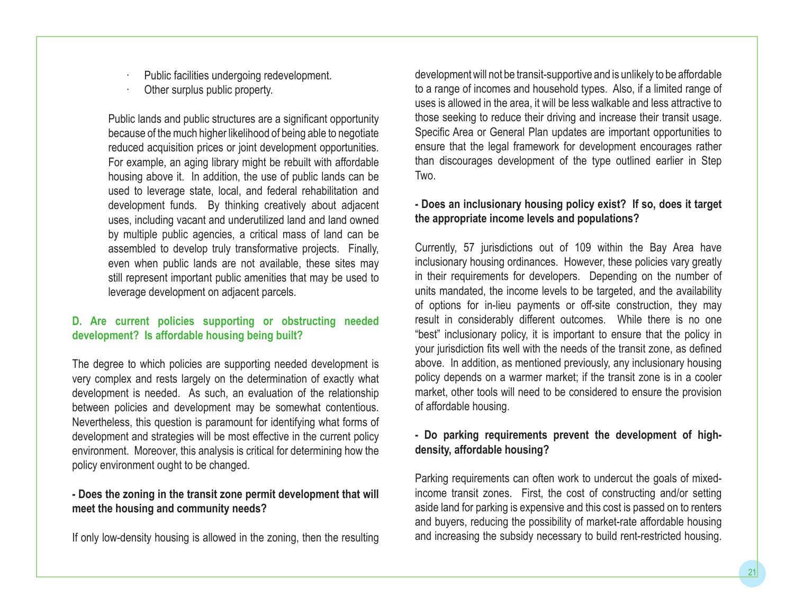- Public facilities undergoing redevelopment.
- Other surplus public property.

Public lands and public structures are a significant opportunity because of the much higher likelihood of being able to negotiate reduced acquisition prices or joint development opportunities. For example, an aging library might be rebuilt with affordable housing above it. In addition, the use of public lands can be used to leverage state, local, and federal rehabilitation and development funds. By thinking creatively about adjacent uses, including vacant and underutilized land and land owned by multiple public agencies, a critical mass of land can be assembled to develop truly transformative projects. Finally, even when public lands are not available, these sites may still represent important public amenities that may be used to leverage development on adjacent parcels.

# **D. Are current policies supporting or obstructing needed development? Is affordable housing being built?**

The degree to which policies are supporting needed development is very complex and rests largely on the determination of exactly what development is needed. As such, an evaluation of the relationship between policies and development may be somewhat contentious. Nevertheless, this question is paramount for identifying what forms of development and strategies will be most effective in the current policy environment. Moreover, this analysis is critical for determining how the policy environment ought to be changed.

# **- Does the zoning in the transit zone permit development that will meet the housing and community needs?**

If only low-density housing is allowed in the zoning, then the resulting

development will not be transit-supportive and is unlikely to be affordable to a range of incomes and household types. Also, if a limited range of uses is allowed in the area, it will be less walkable and less attractive to those seeking to reduce their driving and increase their transit usage. Specific Area or General Plan updates are important opportunities to ensure that the legal framework for development encourages rather than discourages development of the type outlined earlier in Step Two.

# **- Does an inclusionary housing policy exist? If so, does it target the appropriate income levels and populations?**

Currently, 57 jurisdictions out of 109 within the Bay Area have inclusionary housing ordinances. However, these policies vary greatly in their requirements for developers. Depending on the number of units mandated, the income levels to be targeted, and the availability of options for in-lieu payments or off-site construction, they may result in considerably different outcomes. While there is no one "best" inclusionary policy, it is important to ensure that the policy in your jurisdiction fits well with the needs of the transit zone, as defined above. In addition, as mentioned previously, any inclusionary housing policy depends on a warmer market; if the transit zone is in a cooler market, other tools will need to be considered to ensure the provision of affordable housing.

# **- Do parking requirements prevent the development of highdensity, affordable housing?**

Parking requirements can often work to undercut the goals of mixedincome transit zones. First, the cost of constructing and/or setting aside land for parking is expensive and this cost is passed on to renters and buyers, reducing the possibility of market-rate affordable housing and increasing the subsidy necessary to build rent-restricted housing.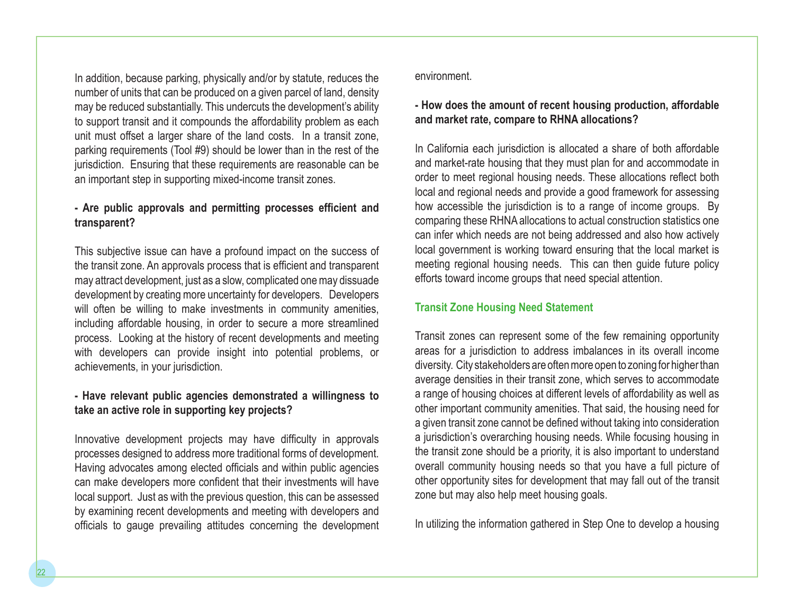In addition, because parking, physically and/or by statute, reduces the number of units that can be produced on a given parcel of land, density may be reduced substantially. This undercuts the development's ability to support transit and it compounds the affordability problem as each unit must offset a larger share of the land costs. In a transit zone, parking requirements (Tool #9) should be lower than in the rest of the jurisdiction. Ensuring that these requirements are reasonable can be an important step in supporting mixed-income transit zones.

# **- Are public approvals and permitting processes efficient and transparent?**

This subjective issue can have a profound impact on the success of the transit zone. An approvals process that is efficient and transparent may attract development, just as a slow, complicated one may dissuade development by creating more uncertainty for developers. Developers will often be willing to make investments in community amenities, including affordable housing, in order to secure a more streamlined process. Looking at the history of recent developments and meeting with developers can provide insight into potential problems, or achievements, in your jurisdiction.

# **- Have relevant public agencies demonstrated a willingness to take an active role in supporting key projects?**

Innovative development projects may have difficulty in approvals processes designed to address more traditional forms of development. Having advocates among elected officials and within public agencies can make developers more confident that their investments will have local support. Just as with the previous question, this can be assessed by examining recent developments and meeting with developers and officials to gauge prevailing attitudes concerning the development

#### environment.

# **- How does the amount of recent housing production, affordable and market rate, compare to RHNA allocations?**

In California each jurisdiction is allocated a share of both affordable and market-rate housing that they must plan for and accommodate in order to meet regional housing needs. These allocations reflect both local and regional needs and provide a good framework for assessing how accessible the jurisdiction is to a range of income groups. By comparing these RHNA allocations to actual construction statistics one can infer which needs are not being addressed and also how actively local government is working toward ensuring that the local market is meeting regional housing needs. This can then guide future policy efforts toward income groups that need special attention.

### **Transit Zone Housing Need Statement**

Transit zones can represent some of the few remaining opportunity areas for a jurisdiction to address imbalances in its overall income diversity. City stakeholders are often more open to zoning for higher than average densities in their transit zone, which serves to accommodate a range of housing choices at different levels of affordability as well as other important community amenities. That said, the housing need for a given transit zone cannot be defined without taking into consideration a jurisdiction's overarching housing needs. While focusing housing in the transit zone should be a priority, it is also important to understand overall community housing needs so that you have a full picture of other opportunity sites for development that may fall out of the transit zone but may also help meet housing goals.

In utilizing the information gathered in Step One to develop a housing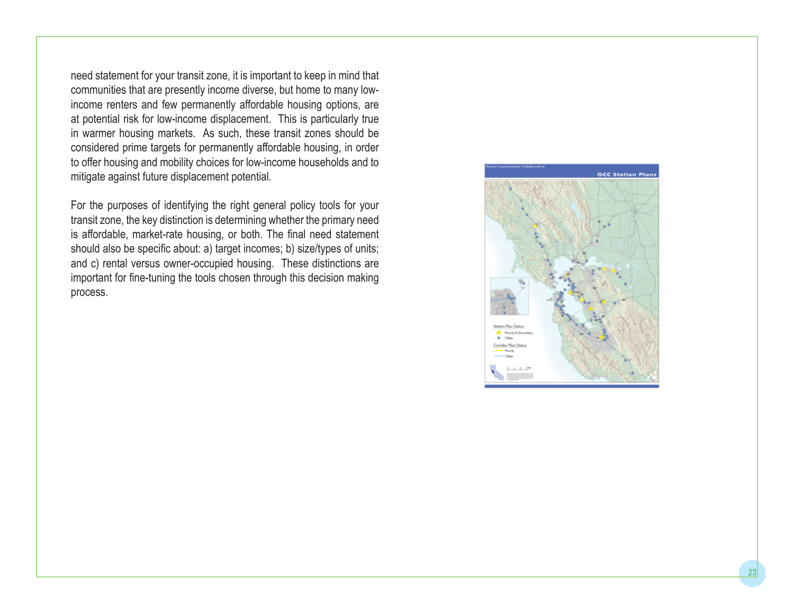need statement for your transit zone, it is important to keep in mind that communities that are presently income diverse, but home to many lowincome renters and few permanently affordable housing options, are at potential risk for low-income displacement. This is particularly true in warmer housing markets. As such, these transit zones should be considered prime targets for permanently affordable housing, in order to offer housing and mobility choices for low-income households and to mitigate against future displacement potential.

For the purposes of identifying the right general policy tools for your transit zone, the key distinction is determining whether the primary need is affordable, market-rate housing, or both. The final need statement should also be specific about: a) target incomes; b) size/types of units; and c) rental versus owner-occupied housing. These distinctions are important for fine-tuning the tools chosen through this decision making process.

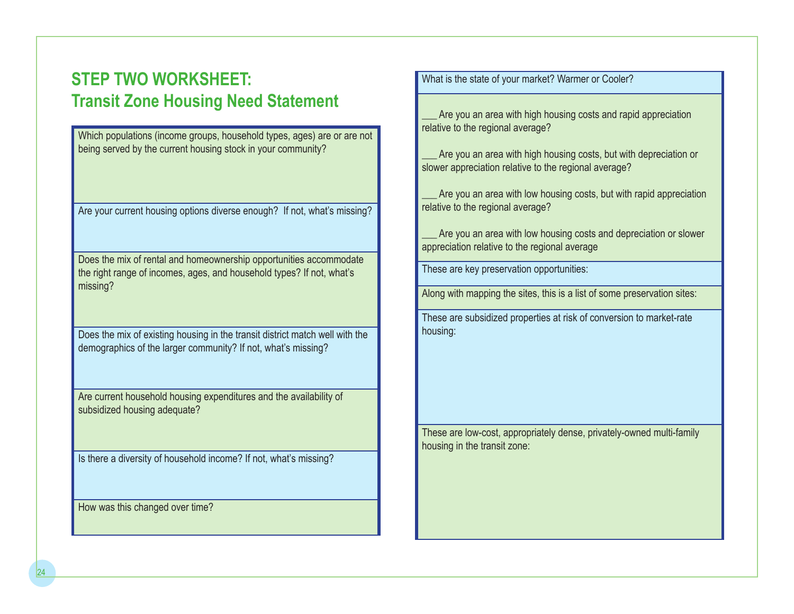# **STEP TWO WORKSHEET: Transit Zone Housing Need Statement**

Which populations (income groups, household types, ages) are or are not being served by the current housing stock in your community?

Are your current housing options diverse enough? If not, what's missing?

Does the mix of rental and homeownership opportunities accommodate the right range of incomes, ages, and household types? If not, what's missing?

Does the mix of existing housing in the transit district match well with the demographics of the larger community? If not, what's missing?

Are current household housing expenditures and the availability of subsidized housing adequate?

Is there a diversity of household income? If not, what's missing?

How was this changed over time?

What is the state of your market? Warmer or Cooler?

\_\_\_ Are you an area with high housing costs and rapid appreciation relative to the regional average?

Are you an area with high housing costs, but with depreciation or slower appreciation relative to the regional average?

Are you an area with low housing costs, but with rapid appreciation relative to the regional average?

Are you an area with low housing costs and depreciation or slower appreciation relative to the regional average

These are key preservation opportunities:

Along with mapping the sites, this is a list of some preservation sites:

These are subsidized properties at risk of conversion to market-rate housing:

These are low-cost, appropriately dense, privately-owned multi-family housing in the transit zone: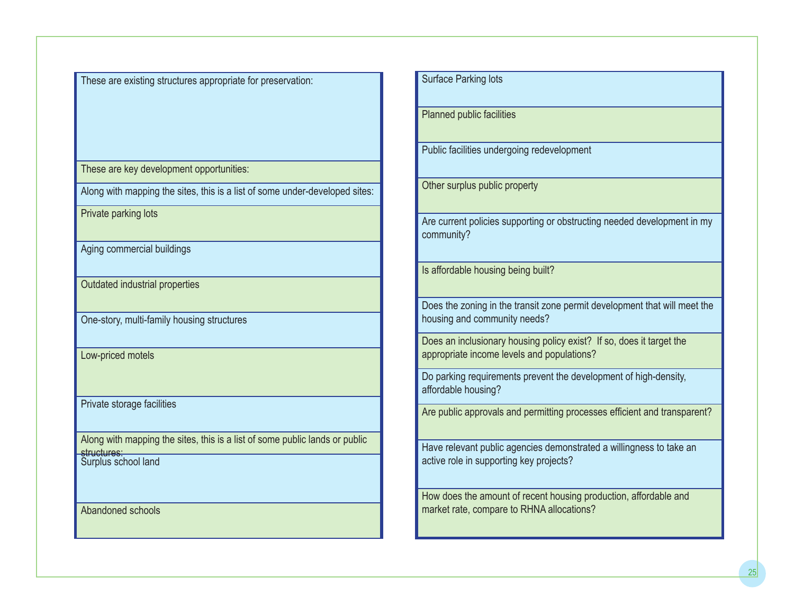These are existing structures appropriate for preservation:

These are key development opportunities:

Along with mapping the sites, this is a list of some under-developed sites:

Private parking lots

Aging commercial buildings

Outdated industrial properties

One-story, multi-family housing structures

Low-priced motels

**Private storage facilities** 

Along with mapping the sites, this is a list of some public lands or public structures: Surplus school land

Abandoned schools

| <b>Surface Parking lots</b>                                                                                        |
|--------------------------------------------------------------------------------------------------------------------|
| <b>Planned public facilities</b>                                                                                   |
| Public facilities undergoing redevelopment                                                                         |
| Other surplus public property                                                                                      |
| Are current policies supporting or obstructing needed development in my<br>community?                              |
| Is affordable housing being built?                                                                                 |
| Does the zoning in the transit zone permit development that will meet the<br>housing and community needs?          |
| Does an inclusionary housing policy exist? If so, does it target the<br>appropriate income levels and populations? |
| Do parking requirements prevent the development of high-density,<br>affordable housing?                            |
| Are public approvals and permitting processes efficient and transparent?                                           |
| Have relevant public agencies demonstrated a willingness to take an<br>active role in supporting key projects?     |
| How does the amount of recent housing production, affordable and<br>market rate, compare to RHNA allocations?      |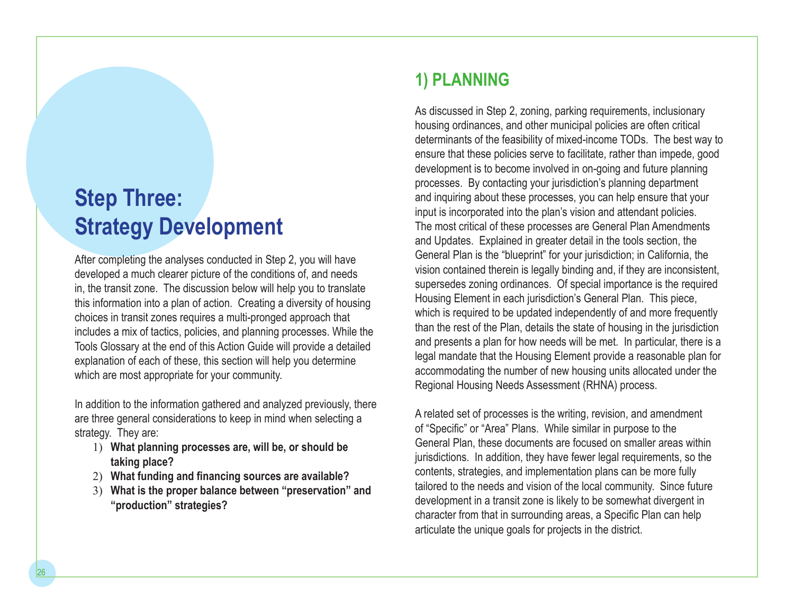# **Step Three: Strategy Development**

After completing the analyses conducted in Step 2, you will have developed a much clearer picture of the conditions of, and needs in, the transit zone. The discussion below will help you to translate this information into a plan of action. Creating a diversity of housing choices in transit zones requires a multi-pronged approach that includes a mix of tactics, policies, and planning processes. While the Tools Glossary at the end of this Action Guide will provide a detailed explanation of each of these, this section will help you determine which are most appropriate for your community.

In addition to the information gathered and analyzed previously, there are three general considerations to keep in mind when selecting a strategy. They are:

- 1) **What planning processes are, will be, or should be taking place?**
- 2) **What funding and financing sources are available?**
- 3) **What is the proper balance between "preservation" and "production" strategies?**

# **1) PLANNING**

As discussed in Step 2, zoning, parking requirements, inclusionary housing ordinances, and other municipal policies are often critical determinants of the feasibility of mixed-income TODs. The best way to ensure that these policies serve to facilitate, rather than impede, good development is to become involved in on-going and future planning processes. By contacting your jurisdiction's planning department and inquiring about these processes, you can help ensure that your input is incorporated into the plan's vision and attendant policies. The most critical of these processes are General Plan Amendments and Updates. Explained in greater detail in the tools section, the General Plan is the "blueprint" for your jurisdiction; in California, the vision contained therein is legally binding and, if they are inconsistent, supersedes zoning ordinances. Of special importance is the required Housing Element in each jurisdiction's General Plan. This piece, which is required to be updated independently of and more frequently than the rest of the Plan, details the state of housing in the jurisdiction and presents a plan for how needs will be met. In particular, there is a legal mandate that the Housing Element provide a reasonable plan for accommodating the number of new housing units allocated under the Regional Housing Needs Assessment (RHNA) process.

A related set of processes is the writing, revision, and amendment of "Specific" or "Area" Plans. While similar in purpose to the General Plan, these documents are focused on smaller areas within jurisdictions. In addition, they have fewer legal requirements, so the contents, strategies, and implementation plans can be more fully tailored to the needs and vision of the local community. Since future development in a transit zone is likely to be somewhat divergent in character from that in surrounding areas, a Specific Plan can help articulate the unique goals for projects in the district.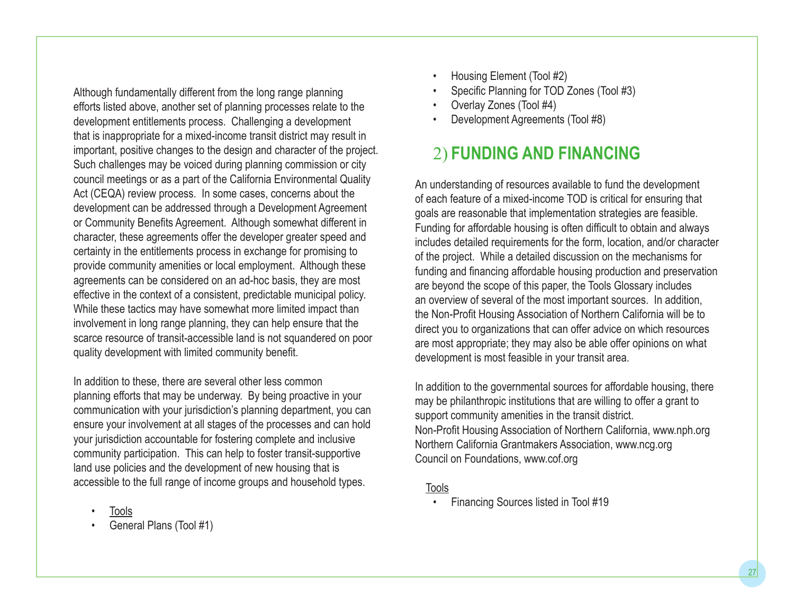Although fundamentally different from the long range planning efforts listed above, another set of planning processes relate to the development entitlements process. Challenging a development that is inappropriate for a mixed-income transit district may result in important, positive changes to the design and character of the project. Such challenges may be voiced during planning commission or city council meetings or as a part of the California Environmental Quality Act (CEQA) review process. In some cases, concerns about the development can be addressed through a Development Agreement or Community Benefits Agreement. Although somewhat different in character, these agreements offer the developer greater speed and certainty in the entitlements process in exchange for promising to provide community amenities or local employment. Although these agreements can be considered on an ad-hoc basis, they are most effective in the context of a consistent, predictable municipal policy. While these tactics may have somewhat more limited impact than involvement in long range planning, they can help ensure that the scarce resource of transit-accessible land is not squandered on poor quality development with limited community benefit.

In addition to these, there are several other less common planning efforts that may be underway. By being proactive in your communication with your jurisdiction's planning department, you can ensure your involvement at all stages of the processes and can hold your jurisdiction accountable for fostering complete and inclusive community participation. This can help to foster transit-supportive land use policies and the development of new housing that is accessible to the full range of income groups and household types.

- Tools
- General Plans (Tool #1)
- Housing Element (Tool #2)
- Specific Planning for TOD Zones (Tool #3)
- Overlay Zones (Tool #4)
- Development Agreements (Tool #8)

# 2) **FUNDING AND FINANCING**

An understanding of resources available to fund the development of each feature of a mixed-income TOD is critical for ensuring that goals are reasonable that implementation strategies are feasible. Funding for affordable housing is often difficult to obtain and always includes detailed requirements for the form, location, and/or character of the project. While a detailed discussion on the mechanisms for funding and financing affordable housing production and preservation are beyond the scope of this paper, the Tools Glossary includes an overview of several of the most important sources. In addition, the Non-Profit Housing Association of Northern California will be to direct you to organizations that can offer advice on which resources are most appropriate; they may also be able offer opinions on what development is most feasible in your transit area.

In addition to the governmental sources for affordable housing, there may be philanthropic institutions that are willing to offer a grant to support community amenities in the transit district. Non-Profit Housing Association of Northern California, www.nph.org Northern California Grantmakers Association, www.ncg.org Council on Foundations, www.cof.org

# Tools

• Financing Sources listed in Tool #19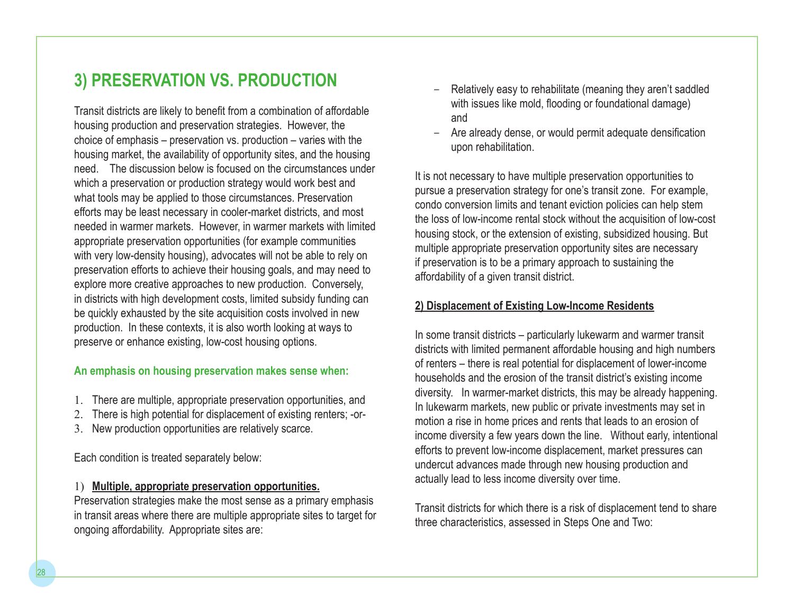# **3) PRESERVATION VS. PRODUCTION**

Transit districts are likely to benefit from a combination of affordable housing production and preservation strategies. However, the choice of emphasis – preservation vs. production – varies with the housing market, the availability of opportunity sites, and the housing need. The discussion below is focused on the circumstances under which a preservation or production strategy would work best and what tools may be applied to those circumstances. Preservation efforts may be least necessary in cooler-market districts, and most needed in warmer markets. However, in warmer markets with limited appropriate preservation opportunities (for example communities with very low-density housing), advocates will not be able to rely on preservation efforts to achieve their housing goals, and may need to explore more creative approaches to new production. Conversely, in districts with high development costs, limited subsidy funding can be quickly exhausted by the site acquisition costs involved in new production. In these contexts, it is also worth looking at ways to preserve or enhance existing, low-cost housing options.

# **An emphasis on housing preservation makes sense when:**

- 1. There are multiple, appropriate preservation opportunities, and
- 2. There is high potential for displacement of existing renters; -or-
- 3. New production opportunities are relatively scarce.

Each condition is treated separately below:

#### 1) **Multiple, appropriate preservation opportunities.**

Preservation strategies make the most sense as a primary emphasis in transit areas where there are multiple appropriate sites to target for ongoing affordability. Appropriate sites are:

- Relatively easy to rehabilitate (meaning they aren't saddled with issues like mold, flooding or foundational damage) and
- Are already dense, or would permit adequate densification upon rehabilitation.

It is not necessary to have multiple preservation opportunities to pursue a preservation strategy for one's transit zone. For example, condo conversion limits and tenant eviction policies can help stem the loss of low-income rental stock without the acquisition of low-cost housing stock, or the extension of existing, subsidized housing. But multiple appropriate preservation opportunity sites are necessary if preservation is to be a primary approach to sustaining the affordability of a given transit district.

#### **2) Displacement of Existing Low-Income Residents**

In some transit districts – particularly lukewarm and warmer transit districts with limited permanent affordable housing and high numbers of renters – there is real potential for displacement of lower-income households and the erosion of the transit district's existing income diversity. In warmer-market districts, this may be already happening. In lukewarm markets, new public or private investments may set in motion a rise in home prices and rents that leads to an erosion of income diversity a few years down the line. Without early, intentional efforts to prevent low-income displacement, market pressures can undercut advances made through new housing production and actually lead to less income diversity over time.

Transit districts for which there is a risk of displacement tend to share three characteristics, assessed in Steps One and Two: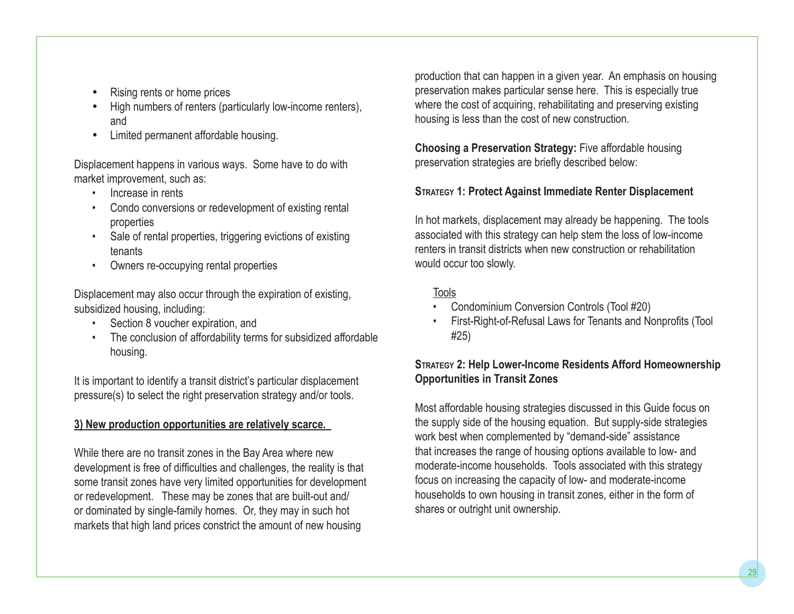- Rising rents or home prices
- High numbers of renters (particularly low-income renters), and
- • Limited permanent affordable housing.

Displacement happens in various ways. Some have to do with market improvement, such as:

- Increase in rents
- Condo conversions or redevelopment of existing rental properties
- Sale of rental properties, triggering evictions of existing tenants
- Owners re-occupying rental properties

Displacement may also occur through the expiration of existing, subsidized housing, including:

- Section 8 voucher expiration, and
- The conclusion of affordability terms for subsidized affordable housing.

It is important to identify a transit district's particular displacement pressure(s) to select the right preservation strategy and/or tools.

# **3) New production opportunities are relatively scarce.**

While there are no transit zones in the Bay Area where new development is free of difficulties and challenges, the reality is that some transit zones have very limited opportunities for development or redevelopment. These may be zones that are built-out and/ or dominated by single-family homes. Or, they may in such hot markets that high land prices constrict the amount of new housing

production that can happen in a given year. An emphasis on housing preservation makes particular sense here. This is especially true where the cost of acquiring, rehabilitating and preserving existing housing is less than the cost of new construction.

**Choosing a Preservation Strategy:** Five affordable housing preservation strategies are briefly described below:

# **Strategy 1: Protect Against Immediate Renter Displacement**

In hot markets, displacement may already be happening. The tools associated with this strategy can help stem the loss of low-income renters in transit districts when new construction or rehabilitation would occur too slowly.

# Tools

- Condominium Conversion Controls (Tool #20)
- First-Right-of-Refusal Laws for Tenants and Nonprofits (Tool #25)

# **Strategy 2: Help Lower-Income Residents Afford Homeownership Opportunities in Transit Zones**

Most affordable housing strategies discussed in this Guide focus on the supply side of the housing equation. But supply-side strategies work best when complemented by "demand-side" assistance that increases the range of housing options available to low- and moderate-income households. Tools associated with this strategy focus on increasing the capacity of low- and moderate-income households to own housing in transit zones, either in the form of shares or outright unit ownership.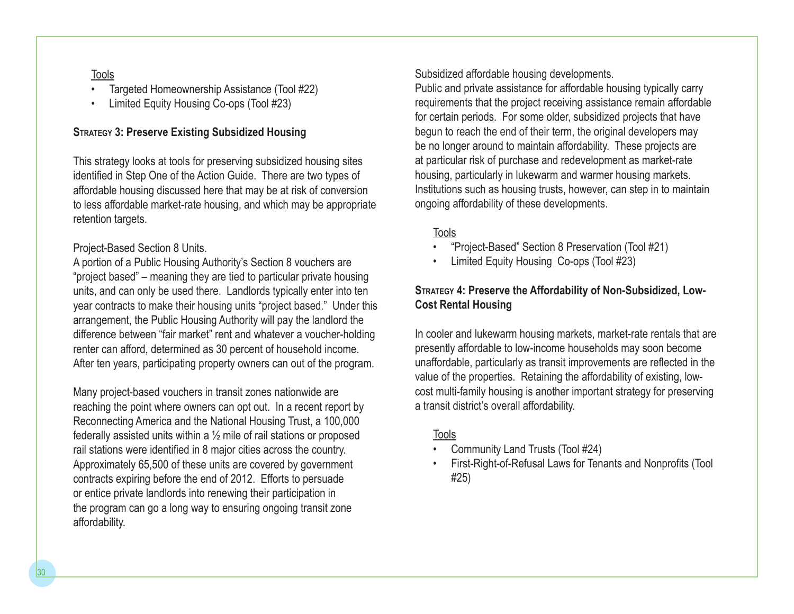# Tools

- Targeted Homeownership Assistance (Tool #22)
- Limited Equity Housing Co-ops (Tool #23)

### **Strategy 3: Preserve Existing Subsidized Housing**

This strategy looks at tools for preserving subsidized housing sites identified in Step One of the Action Guide. There are two types of affordable housing discussed here that may be at risk of conversion to less affordable market-rate housing, and which may be appropriate retention targets.

#### Project-Based Section 8 Units.

A portion of a Public Housing Authority's Section 8 vouchers are "project based" – meaning they are tied to particular private housing units, and can only be used there. Landlords typically enter into ten year contracts to make their housing units "project based." Under this arrangement, the Public Housing Authority will pay the landlord the difference between "fair market" rent and whatever a voucher-holding renter can afford, determined as 30 percent of household income. After ten years, participating property owners can out of the program.

Many project-based vouchers in transit zones nationwide are reaching the point where owners can opt out. In a recent report by Reconnecting America and the National Housing Trust, a 100,000 federally assisted units within a  $\frac{1}{2}$  mile of rail stations or proposed rail stations were identified in 8 major cities across the country. Approximately 65,500 of these units are covered by government contracts expiring before the end of 2012. Efforts to persuade or entice private landlords into renewing their participation in the program can go a long way to ensuring ongoing transit zone affordability.

Subsidized affordable housing developments.

Public and private assistance for affordable housing typically carry requirements that the project receiving assistance remain affordable for certain periods. For some older, subsidized projects that have begun to reach the end of their term, the original developers may be no longer around to maintain affordability. These projects are at particular risk of purchase and redevelopment as market-rate housing, particularly in lukewarm and warmer housing markets. Institutions such as housing trusts, however, can step in to maintain ongoing affordability of these developments.

# Tools

- "Project-Based" Section 8 Preservation (Tool #21)
- Limited Equity Housing Co-ops (Tool #23)

# **Strategy 4: Preserve the Affordability of Non-Subsidized, Low-Cost Rental Housing**

In cooler and lukewarm housing markets, market-rate rentals that are presently affordable to low-income households may soon become unaffordable, particularly as transit improvements are reflected in the value of the properties. Retaining the affordability of existing, lowcost multi-family housing is another important strategy for preserving a transit district's overall affordability.

# Tools

- Community Land Trusts (Tool #24)
- First-Right-of-Refusal Laws for Tenants and Nonprofits (Tool #25)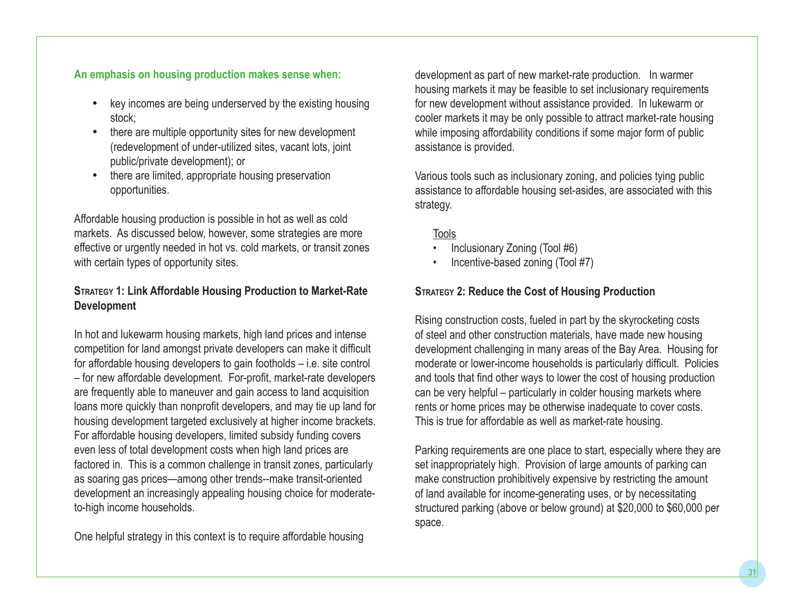# **An emphasis on housing production makes sense when:**

- key incomes are being underserved by the existing housing stock;
- there are multiple opportunity sites for new development (redevelopment of under-utilized sites, vacant lots, joint public/private development); or
- there are limited, appropriate housing preservation opportunities.

Affordable housing production is possible in hot as well as cold markets. As discussed below, however, some strategies are more effective or urgently needed in hot vs. cold markets, or transit zones with certain types of opportunity sites.

# **Strategy 1: Link Affordable Housing Production to Market-Rate Development**

In hot and lukewarm housing markets, high land prices and intense competition for land amongst private developers can make it difficult for affordable housing developers to gain footholds – i.e. site control – for new affordable development. For-profit, market-rate developers are frequently able to maneuver and gain access to land acquisition loans more quickly than nonprofit developers, and may tie up land for housing development targeted exclusively at higher income brackets. For affordable housing developers, limited subsidy funding covers even less of total development costs when high land prices are factored in. This is a common challenge in transit zones, particularly as soaring gas prices—among other trends--make transit-oriented development an increasingly appealing housing choice for moderateto-high income households.

One helpful strategy in this context is to require affordable housing

development as part of new market-rate production. In warmer housing markets it may be feasible to set inclusionary requirements for new development without assistance provided. In lukewarm or cooler markets it may be only possible to attract market-rate housing while imposing affordability conditions if some major form of public assistance is provided.

Various tools such as inclusionary zoning, and policies tying public assistance to affordable housing set-asides, are associated with this strategy.

# Tools

- Inclusionary Zoning (Tool #6)
- Incentive-based zoning (Tool #7)

### **Strategy 2: Reduce the Cost of Housing Production**

Rising construction costs, fueled in part by the skyrocketing costs of steel and other construction materials, have made new housing development challenging in many areas of the Bay Area. Housing for moderate or lower-income households is particularly difficult. Policies and tools that find other ways to lower the cost of housing production can be very helpful – particularly in colder housing markets where rents or home prices may be otherwise inadequate to cover costs. This is true for affordable as well as market-rate housing.

Parking requirements are one place to start, especially where they are set inappropriately high. Provision of large amounts of parking can make construction prohibitively expensive by restricting the amount of land available for income-generating uses, or by necessitating structured parking (above or below ground) at \$20,000 to \$60,000 per space.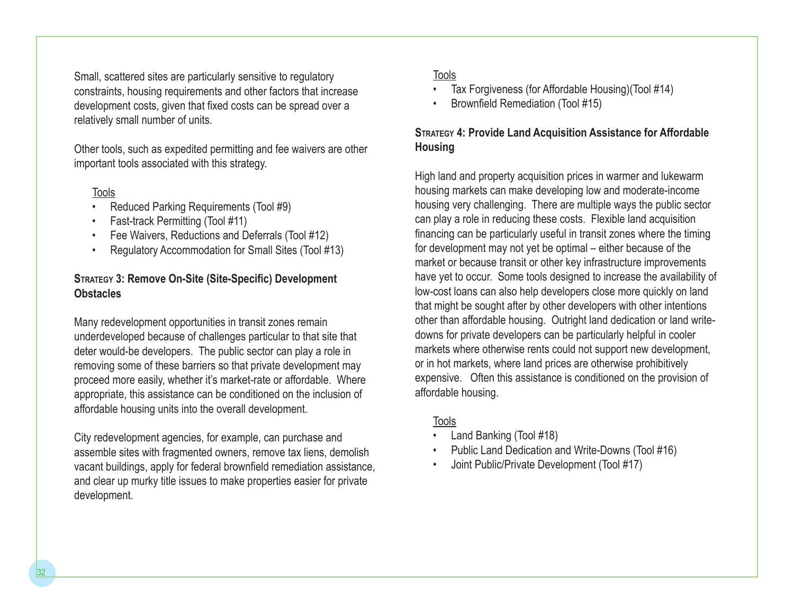Small, scattered sites are particularly sensitive to regulatory constraints, housing requirements and other factors that increase development costs, given that fixed costs can be spread over a relatively small number of units.

Other tools, such as expedited permitting and fee waivers are other important tools associated with this strategy.

# Tools

- Reduced Parking Requirements (Tool #9)
- Fast-track Permitting (Tool #11)
- Fee Waivers, Reductions and Deferrals (Tool #12)
- Regulatory Accommodation for Small Sites (Tool #13)

# **Strategy 3: Remove On-Site (Site-Specific) Development Obstacles**

Many redevelopment opportunities in transit zones remain underdeveloped because of challenges particular to that site that deter would-be developers. The public sector can play a role in removing some of these barriers so that private development may proceed more easily, whether it's market-rate or affordable. Where appropriate, this assistance can be conditioned on the inclusion of affordable housing units into the overall development.

City redevelopment agencies, for example, can purchase and assemble sites with fragmented owners, remove tax liens, demolish vacant buildings, apply for federal brownfield remediation assistance, and clear up murky title issues to make properties easier for private development.

# Tools

- Tax Forgiveness (for Affordable Housing)(Tool #14)
- Brownfield Remediation (Tool #15)

# **Strategy 4: Provide Land Acquisition Assistance for Affordable Housing**

High land and property acquisition prices in warmer and lukewarm housing markets can make developing low and moderate-income housing very challenging. There are multiple ways the public sector can play a role in reducing these costs. Flexible land acquisition financing can be particularly useful in transit zones where the timing for development may not yet be optimal – either because of the market or because transit or other key infrastructure improvements have yet to occur. Some tools designed to increase the availability of low-cost loans can also help developers close more quickly on land that might be sought after by other developers with other intentions other than affordable housing. Outright land dedication or land writedowns for private developers can be particularly helpful in cooler markets where otherwise rents could not support new development, or in hot markets, where land prices are otherwise prohibitively expensive. Often this assistance is conditioned on the provision of affordable housing.

# Tools

- Land Banking (Tool #18)
- Public Land Dedication and Write-Downs (Tool #16)
- Joint Public/Private Development (Tool #17)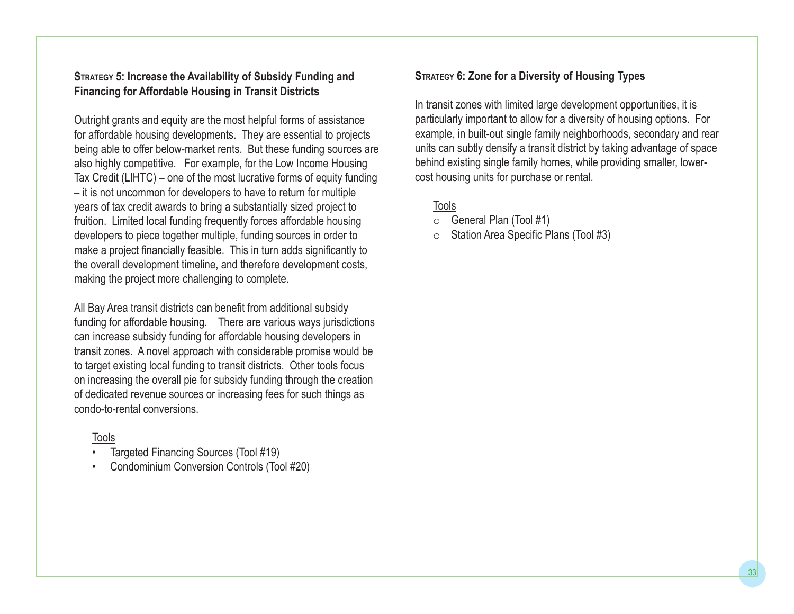# **Strategy 5: Increase the Availability of Subsidy Funding and Financing for Affordable Housing in Transit Districts**

Outright grants and equity are the most helpful forms of assistance for affordable housing developments. They are essential to projects being able to offer below-market rents. But these funding sources are also highly competitive. For example, for the Low Income Housing Tax Credit (LIHTC) – one of the most lucrative forms of equity funding – it is not uncommon for developers to have to return for multiple years of tax credit awards to bring a substantially sized project to fruition. Limited local funding frequently forces affordable housing developers to piece together multiple, funding sources in order to make a project financially feasible. This in turn adds significantly to the overall development timeline, and therefore development costs, making the project more challenging to complete.

All Bay Area transit districts can benefit from additional subsidy funding for affordable housing. There are various ways jurisdictions can increase subsidy funding for affordable housing developers in transit zones. A novel approach with considerable promise would be to target existing local funding to transit districts. Other tools focus on increasing the overall pie for subsidy funding through the creation of dedicated revenue sources or increasing fees for such things as condo-to-rental conversions.

# Tools

- Targeted Financing Sources (Tool #19)
- Condominium Conversion Controls (Tool #20)

# **Strategy 6: Zone for a Diversity of Housing Types**

In transit zones with limited large development opportunities, it is particularly important to allow for a diversity of housing options. For example, in built-out single family neighborhoods, secondary and rear units can subtly densify a transit district by taking advantage of space behind existing single family homes, while providing smaller, lowercost housing units for purchase or rental.

# Tools

- o General Plan (Tool #1)
- o Station Area Specific Plans (Tool #3)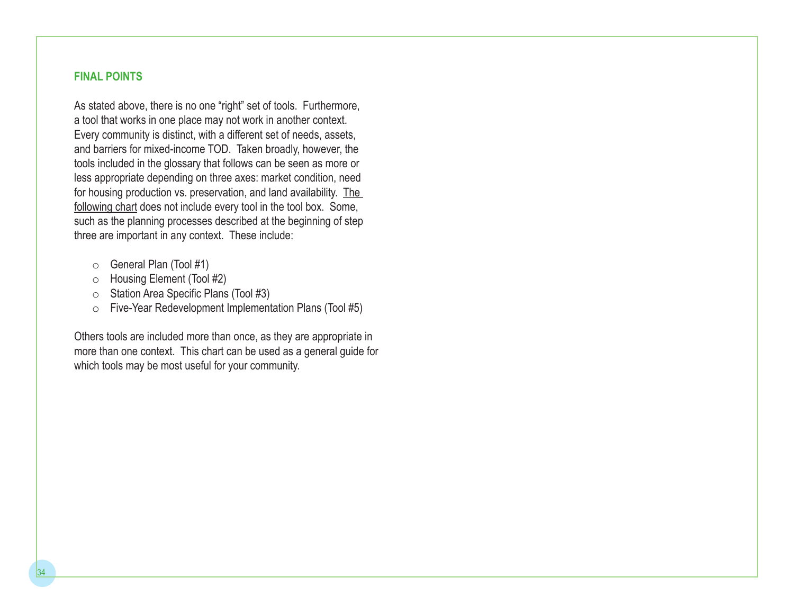#### **FINAL POINTS**

As stated above, there is no one "right" set of tools. Furthermore, a tool that works in one place may not work in another context. Every community is distinct, with a different set of needs, assets, and barriers for mixed-income TOD. Taken broadly, however, the tools included in the glossary that follows can be seen as more or less appropriate depending on three axes: market condition, need for housing production vs. preservation, and land availability. The following chart does not include every tool in the tool box. Some, such as the planning processes described at the beginning of step three are important in any context. These include:

- o General Plan (Tool #1)
- o Housing Element (Tool #2)
- o Station Area Specific Plans (Tool #3)
- o Five-Year Redevelopment Implementation Plans (Tool #5)

Others tools are included more than once, as they are appropriate in more than one context. This chart can be used as a general guide for which tools may be most useful for your community.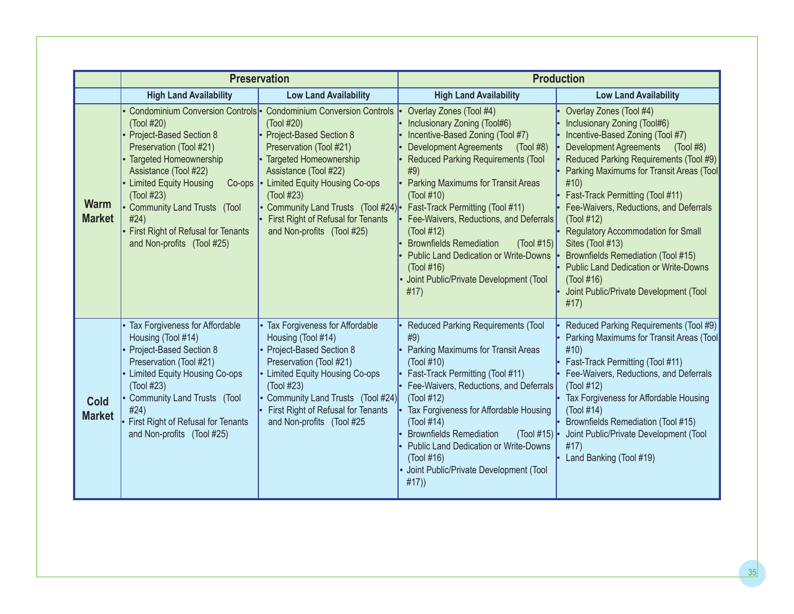|                              |                                                                                                                                                                                                                                                                                                                                      | <b>Preservation</b>                                                                                                                                                                                                                                                                                                           | <b>Production</b>                                                                                                                                                                                                                                                                                                                                                                                                                                                                                      |                                                                                                                                                                                                                                                                                                                                                                                                                                                                                                                                                     |  |
|------------------------------|--------------------------------------------------------------------------------------------------------------------------------------------------------------------------------------------------------------------------------------------------------------------------------------------------------------------------------------|-------------------------------------------------------------------------------------------------------------------------------------------------------------------------------------------------------------------------------------------------------------------------------------------------------------------------------|--------------------------------------------------------------------------------------------------------------------------------------------------------------------------------------------------------------------------------------------------------------------------------------------------------------------------------------------------------------------------------------------------------------------------------------------------------------------------------------------------------|-----------------------------------------------------------------------------------------------------------------------------------------------------------------------------------------------------------------------------------------------------------------------------------------------------------------------------------------------------------------------------------------------------------------------------------------------------------------------------------------------------------------------------------------------------|--|
|                              | <b>High Land Availability</b>                                                                                                                                                                                                                                                                                                        | <b>Low Land Availability</b>                                                                                                                                                                                                                                                                                                  | <b>High Land Availability</b>                                                                                                                                                                                                                                                                                                                                                                                                                                                                          | <b>Low Land Availability</b>                                                                                                                                                                                                                                                                                                                                                                                                                                                                                                                        |  |
| <b>Warm</b><br><b>Market</b> | Condominium Conversion Controls  •<br>(Tool #20)<br>Project-Based Section 8<br>Preservation (Tool #21)<br>Targeted Homeownership<br>Assistance (Tool #22)<br><b>Limited Equity Housing</b><br>Co-ops<br>(Tool #23)<br><b>Community Land Trusts (Tool</b><br>#24)<br>First Right of Refusal for Tenants<br>and Non-profits (Tool #25) | <b>Condominium Conversion Controls</b><br>(Tool #20)<br>Project-Based Section 8<br>Preservation (Tool #21)<br>Targeted Homeownership<br>Assistance (Tool #22)<br><b>Limited Equity Housing Co-ops</b><br>(Tool #23)<br>Community Land Trusts (Tool #24) •<br>First Right of Refusal for Tenants<br>and Non-profits (Tool #25) | Overlay Zones (Tool #4)<br>Inclusionary Zoning (Tool#6)<br>Incentive-Based Zoning (Tool #7)<br><b>Development Agreements</b><br>(Tool #8)<br><b>Reduced Parking Requirements (Tool</b><br>#9)<br>Parking Maximums for Transit Areas<br>(Tool #10)<br>Fast-Track Permitting (Tool #11)<br>Fee-Waivers, Reductions, and Deferrals<br>(Tool #12)<br><b>Brownfields Remediation</b><br>(Tool #15)<br>Public Land Dedication or Write-Downs<br>(Tool #16)<br>Joint Public/Private Development (Tool<br>#17) | Overlay Zones (Tool #4)<br>Inclusionary Zoning (Tool#6)<br>Incentive-Based Zoning (Tool #7)<br><b>Development Agreements</b><br>(Tool #8)<br>Reduced Parking Requirements (Tool #9)<br>Parking Maximums for Transit Areas (Tool<br>#10)<br>Fast-Track Permitting (Tool #11)<br>Fee-Waivers, Reductions, and Deferrals<br>(Tool #12)<br>Regulatory Accommodation for Small<br>Sites (Tool #13)<br>Brownfields Remediation (Tool #15)<br><b>Public Land Dedication or Write-Downs</b><br>(Tool #16)<br>Joint Public/Private Development (Tool<br>#17) |  |
| <b>Cold</b><br><b>Market</b> | Tax Forgiveness for Affordable<br>Housing (Tool #14)<br>Project-Based Section 8<br>Preservation (Tool #21)<br><b>Limited Equity Housing Co-ops</b><br>(Tool #23)<br><b>Community Land Trusts (Tool</b><br>#24)<br>First Right of Refusal for Tenants<br>and Non-profits (Tool #25)                                                   | • Tax Forgiveness for Affordable<br>Housing (Tool #14)<br>Project-Based Section 8<br>Preservation (Tool #21)<br><b>Limited Equity Housing Co-ops</b><br>(Tool #23)<br>Community Land Trusts (Tool #24)<br>First Right of Refusal for Tenants<br>and Non-profits (Tool #25                                                     | <b>Reduced Parking Requirements (Tool</b><br>#9)<br>Parking Maximums for Transit Areas<br>(Tool #10)<br>Fast-Track Permitting (Tool #11)<br>Fee-Waivers, Reductions, and Deferrals<br>(Tool #12)<br>Tax Forgiveness for Affordable Housing<br>(Tool #14)<br><b>Brownfields Remediation</b><br>(Tool #15)<br>Public Land Dedication or Write-Downs<br>(Tool #16)<br>Joint Public/Private Development (Tool<br>#17)                                                                                      | Reduced Parking Requirements (Tool #9)<br>Parking Maximums for Transit Areas (Tool<br>#10)<br>Fast-Track Permitting (Tool #11)<br>Fee-Waivers, Reductions, and Deferrals<br>(Tool #12)<br>Tax Forgiveness for Affordable Housing<br>(Tool #14)<br>Brownfields Remediation (Tool #15)<br>Joint Public/Private Development (Tool<br>#17)<br>Land Banking (Tool #19)                                                                                                                                                                                   |  |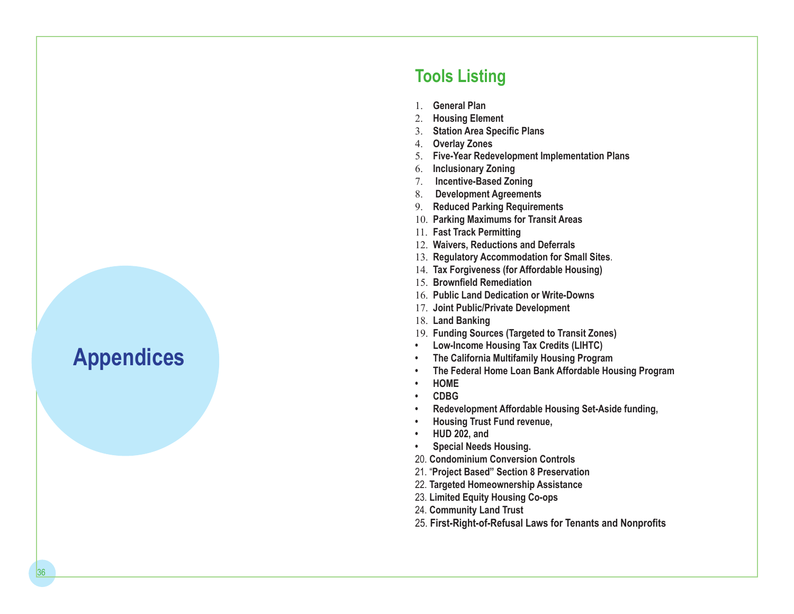# **Appendices**

# **Tools Listing**

- 1. **General Plan**
- 2. **Housing Element**
- 3. **Station Area Specific Plans**
- 4. **Overlay Zones**
- 5. **Five-Year Redevelopment Implementation Plans**
- 6. **Inclusionary Zoning**
- 7. **Incentive-Based Zoning**
- 8. **Development Agreements**
- 9. **Reduced Parking Requirements**
- 10. **Parking Maximums for Transit Areas**
- 11. **Fast Track Permitting**
- 12. **Waivers, Reductions and Deferrals**
- 13. **Regulatory Accommodation for Small Sites**.
- 14. **Tax Forgiveness (for Affordable Housing)**
- 15. **Brownfield Remediation**
- 16. **Public Land Dedication or Write-Downs**
- 17. **Joint Public/Private Development**
- 18. **Land Banking**
- 19. **Funding Sources (Targeted to Transit Zones)**
- **• Low-Income Housing Tax Credits (LIHTC)**
- **• The California Multifamily Housing Program**
- **• The Federal Home Loan Bank Affordable Housing Program**
- **• HOME**
- **• CDBG**
- **• Redevelopment Affordable Housing Set-Aside funding,**
- **• Housing Trust Fund revenue,**
- **• HUD 202, and**
- **• Special Needs Housing.**
- 20. **Condominium Conversion Controls**
- 21. "**Project Based" Section 8 Preservation**
- 22. **Targeted Homeownership Assistance**
- 23. **Limited Equity Housing Co-ops**
- 24. **Community Land Trust**
- 25. **First-Right-of-Refusal Laws for Tenants and Nonprofits**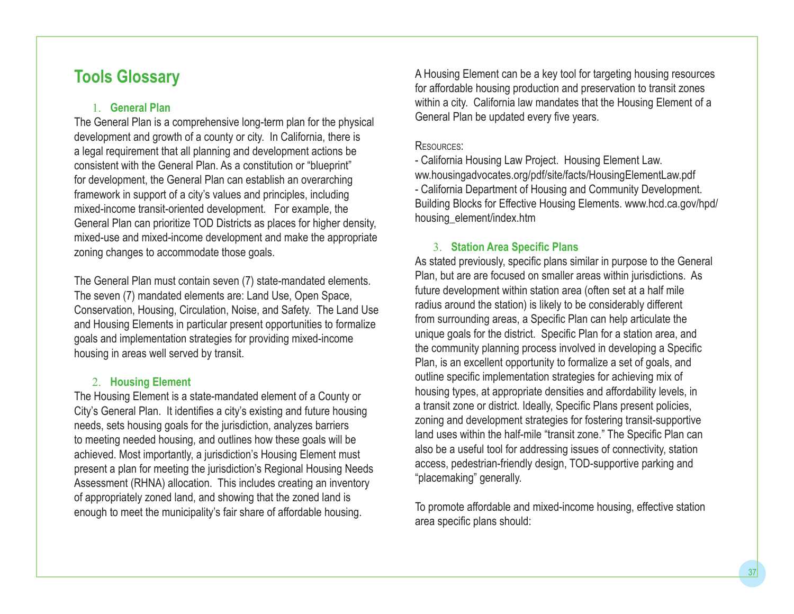# **Tools Glossary**

# 1. **General Plan**

The General Plan is a comprehensive long-term plan for the physical development and growth of a county or city. In California, there is a legal requirement that all planning and development actions be consistent with the General Plan. As a constitution or "blueprint" for development, the General Plan can establish an overarching framework in support of a city's values and principles, including mixed-income transit-oriented development. For example, the General Plan can prioritize TOD Districts as places for higher density, mixed-use and mixed-income development and make the appropriate zoning changes to accommodate those goals.

The General Plan must contain seven (7) state-mandated elements. The seven (7) mandated elements are: Land Use, Open Space, Conservation, Housing, Circulation, Noise, and Safety. The Land Use and Housing Elements in particular present opportunities to formalize goals and implementation strategies for providing mixed-income housing in areas well served by transit.

# 2. **Housing Element**

The Housing Element is a state-mandated element of a County or City's General Plan. It identifies a city's existing and future housing needs, sets housing goals for the jurisdiction, analyzes barriers to meeting needed housing, and outlines how these goals will be achieved. Most importantly, a jurisdiction's Housing Element must present a plan for meeting the jurisdiction's Regional Housing Needs Assessment (RHNA) allocation. This includes creating an inventory of appropriately zoned land, and showing that the zoned land is enough to meet the municipality's fair share of affordable housing.

A Housing Element can be a key tool for targeting housing resources for affordable housing production and preservation to transit zones within a city. California law mandates that the Housing Element of a General Plan be updated every five years.

### Resources:

- California Housing Law Project. Housing Element Law. ww.housingadvocates.org/pdf/site/facts/HousingElementLaw.pdf - California Department of Housing and Community Development. Building Blocks for Effective Housing Elements. www.hcd.ca.gov/hpd/ housing\_element/index.htm

# 3. **Station Area Specific Plans**

As stated previously, specific plans similar in purpose to the General Plan, but are are focused on smaller areas within jurisdictions. As future development within station area (often set at a half mile radius around the station) is likely to be considerably different from surrounding areas, a Specific Plan can help articulate the unique goals for the district. Specific Plan for a station area, and the community planning process involved in developing a Specific Plan, is an excellent opportunity to formalize a set of goals, and outline specific implementation strategies for achieving mix of housing types, at appropriate densities and affordability levels, in a transit zone or district. Ideally, Specific Plans present policies, zoning and development strategies for fostering transit-supportive land uses within the half-mile "transit zone." The Specific Plan can also be a useful tool for addressing issues of connectivity, station access, pedestrian-friendly design, TOD-supportive parking and "placemaking" generally.

To promote affordable and mixed-income housing, effective station area specific plans should: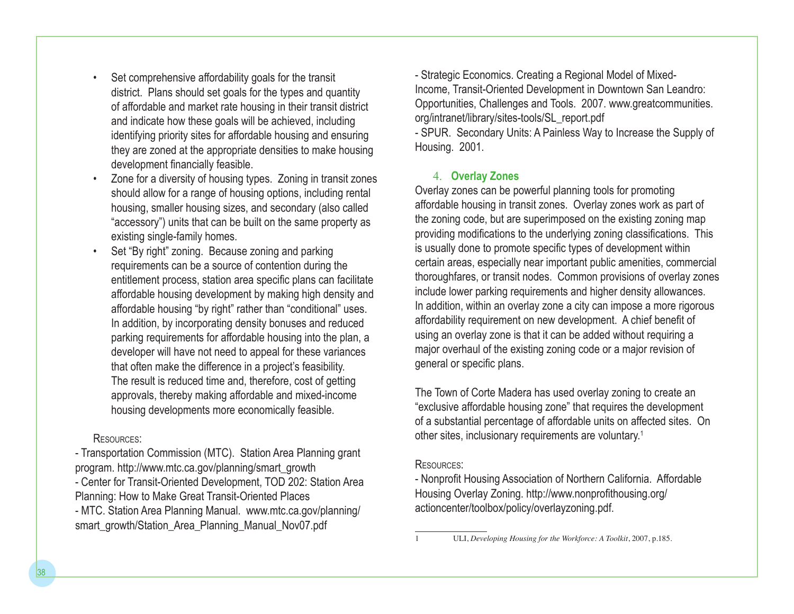- Set comprehensive affordability goals for the transit district. Plans should set goals for the types and quantity of affordable and market rate housing in their transit district and indicate how these goals will be achieved, including identifying priority sites for affordable housing and ensuring they are zoned at the appropriate densities to make housing development financially feasible.
- Zone for a diversity of housing types. Zoning in transit zones should allow for a range of housing options, including rental housing, smaller housing sizes, and secondary (also called "accessory") units that can be built on the same property as existing single-family homes.
- Set "By right" zoning. Because zoning and parking requirements can be a source of contention during the entitlement process, station area specific plans can facilitate affordable housing development by making high density and affordable housing "by right" rather than "conditional" uses. In addition, by incorporating density bonuses and reduced parking requirements for affordable housing into the plan, a developer will have not need to appeal for these variances that often make the difference in a project's feasibility. The result is reduced time and, therefore, cost of getting approvals, thereby making affordable and mixed-income housing developments more economically feasible.

#### Resources:

- Transportation Commission (MTC). Station Area Planning grant program. http://www.mtc.ca.gov/planning/smart\_growth - Center for Transit-Oriented Development, TOD 202: Station Area Planning: How to Make Great Transit-Oriented Places - MTC. Station Area Planning Manual. www.mtc.ca.gov/planning/ smart\_growth/Station\_Area\_Planning\_Manual\_Nov07.pdf

- Strategic Economics. Creating a Regional Model of Mixed-Income, Transit-Oriented Development in Downtown San Leandro: Opportunities, Challenges and Tools. 2007. www.greatcommunities. org/intranet/library/sites-tools/SL\_report.pdf

- SPUR. Secondary Units: A Painless Way to Increase the Supply of Housing. 2001.

### 4. **Overlay Zones**

Overlay zones can be powerful planning tools for promoting affordable housing in transit zones. Overlay zones work as part of the zoning code, but are superimposed on the existing zoning map providing modifications to the underlying zoning classifications. This is usually done to promote specific types of development within certain areas, especially near important public amenities, commercial thoroughfares, or transit nodes. Common provisions of overlay zones include lower parking requirements and higher density allowances. In addition, within an overlay zone a city can impose a more rigorous affordability requirement on new development. A chief benefit of using an overlay zone is that it can be added without requiring a major overhaul of the existing zoning code or a major revision of general or specific plans.

The Town of Corte Madera has used overlay zoning to create an "exclusive affordable housing zone" that requires the development of a substantial percentage of affordable units on affected sites. On other sites, inclusionary requirements are voluntary.1

#### Resources:

- Nonprofit Housing Association of Northern California. Affordable Housing Overlay Zoning. http://www.nonprofithousing.org/ actioncenter/toolbox/policy/overlayzoning.pdf.

<sup>1</sup> ULI, *Developing Housing for the Workforce: A Toolkit*, 2007, p.185.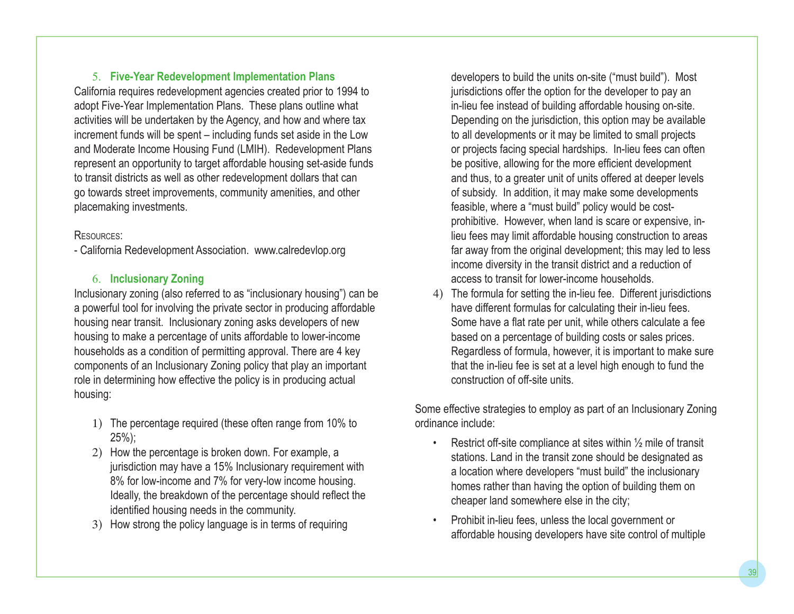# 5. **Five-Year Redevelopment Implementation Plans**

California requires redevelopment agencies created prior to 1994 to adopt Five-Year Implementation Plans. These plans outline what activities will be undertaken by the Agency, and how and where tax increment funds will be spent – including funds set aside in the Low and Moderate Income Housing Fund (LMIH). Redevelopment Plans represent an opportunity to target affordable housing set-aside funds to transit districts as well as other redevelopment dollars that can go towards street improvements, community amenities, and other placemaking investments.

### Resources:

- California Redevelopment Association. www.calredevlop.org

# 6. **Inclusionary Zoning**

Inclusionary zoning (also referred to as "inclusionary housing") can be a powerful tool for involving the private sector in producing affordable housing near transit. Inclusionary zoning asks developers of new housing to make a percentage of units affordable to lower-income households as a condition of permitting approval. There are 4 key components of an Inclusionary Zoning policy that play an important role in determining how effective the policy is in producing actual housing:

- 1) The percentage required (these often range from 10% to 25%);
- 2) How the percentage is broken down. For example, a jurisdiction may have a 15% Inclusionary requirement with 8% for low-income and 7% for very-low income housing. Ideally, the breakdown of the percentage should reflect the identified housing needs in the community.
- 3) How strong the policy language is in terms of requiring

developers to build the units on-site ("must build"). Most jurisdictions offer the option for the developer to pay an in-lieu fee instead of building affordable housing on-site. Depending on the jurisdiction, this option may be available to all developments or it may be limited to small projects or projects facing special hardships. In-lieu fees can often be positive, allowing for the more efficient development and thus, to a greater unit of units offered at deeper levels of subsidy. In addition, it may make some developments feasible, where a "must build" policy would be costprohibitive. However, when land is scare or expensive, inlieu fees may limit affordable housing construction to areas far away from the original development; this may led to less income diversity in the transit district and a reduction of access to transit for lower-income households.

4) The formula for setting the in-lieu fee. Different jurisdictions have different formulas for calculating their in-lieu fees. Some have a flat rate per unit, while others calculate a fee based on a percentage of building costs or sales prices. Regardless of formula, however, it is important to make sure that the in-lieu fee is set at a level high enough to fund the construction of off-site units.

Some effective strategies to employ as part of an Inclusionary Zoning ordinance include:

- Restrict off-site compliance at sites within 1/2 mile of transit stations. Land in the transit zone should be designated as a location where developers "must build" the inclusionary homes rather than having the option of building them on cheaper land somewhere else in the city;
- Prohibit in-lieu fees, unless the local government or affordable housing developers have site control of multiple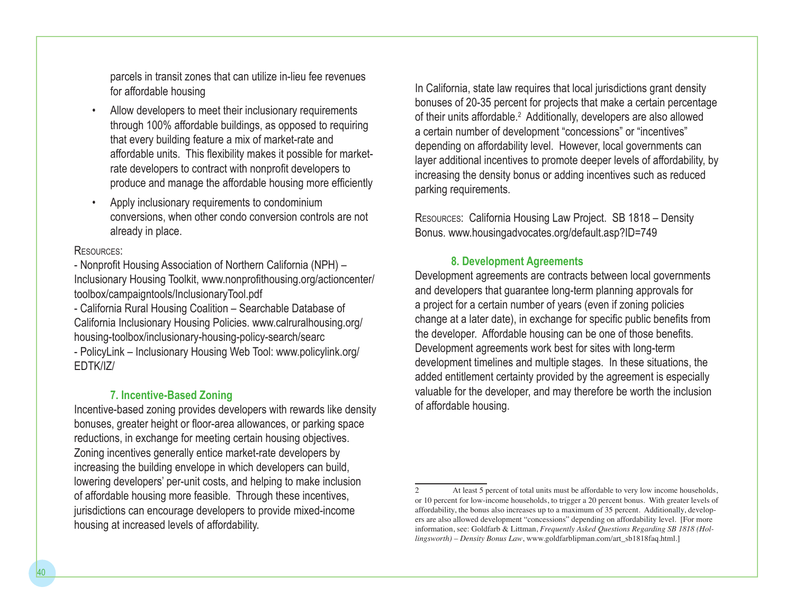parcels in transit zones that can utilize in-lieu fee revenues for affordable housing

- Allow developers to meet their inclusionary requirements through 100% affordable buildings, as opposed to requiring that every building feature a mix of market-rate and affordable units. This flexibility makes it possible for marketrate developers to contract with nonprofit developers to produce and manage the affordable housing more efficiently
- Apply inclusionary requirements to condominium conversions, when other condo conversion controls are not already in place.

#### Resources:

- Nonprofit Housing Association of Northern California (NPH) – Inclusionary Housing Toolkit, www.nonprofithousing.org/actioncenter/ toolbox/campaigntools/InclusionaryTool.pdf

- California Rural Housing Coalition – Searchable Database of California Inclusionary Housing Policies. www.calruralhousing.org/ housing-toolbox/inclusionary-housing-policy-search/searc

- PolicyLink – Inclusionary Housing Web Tool: www.policylink.org/ EDTK/IZ/

#### **7. Incentive-Based Zoning**

Incentive-based zoning provides developers with rewards like density bonuses, greater height or floor-area allowances, or parking space reductions, in exchange for meeting certain housing objectives. Zoning incentives generally entice market-rate developers by increasing the building envelope in which developers can build, lowering developers' per-unit costs, and helping to make inclusion of affordable housing more feasible. Through these incentives, jurisdictions can encourage developers to provide mixed-income housing at increased levels of affordability.

In California, state law requires that local jurisdictions grant density bonuses of 20-35 percent for projects that make a certain percentage of their units affordable.<sup>2</sup> Additionally, developers are also allowed a certain number of development "concessions" or "incentives" depending on affordability level. However, local governments can layer additional incentives to promote deeper levels of affordability, by increasing the density bonus or adding incentives such as reduced parking requirements.

Resources: California Housing Law Project. SB 1818 – Density Bonus. www.housingadvocates.org/default.asp?ID=749

#### **8. Development Agreements**

Development agreements are contracts between local governments and developers that guarantee long-term planning approvals for a project for a certain number of years (even if zoning policies change at a later date), in exchange for specific public benefits from the developer. Affordable housing can be one of those benefits. Development agreements work best for sites with long-term development timelines and multiple stages. In these situations, the added entitlement certainty provided by the agreement is especially valuable for the developer, and may therefore be worth the inclusion of affordable housing.

<sup>2</sup> At least 5 percent of total units must be affordable to very low income households, or 10 percent for low-income households, to trigger a 20 percent bonus. With greater levels of affordability, the bonus also increases up to a maximum of 35 percent. Additionally, developers are also allowed development "concessions" depending on affordability level. [For more information, see: Goldfarb & Littman, *Frequently Asked Questions Regarding SB 1818 (Hollingsworth) – Density Bonus Law*, www.goldfarblipman.com/art\_sb1818faq.html.]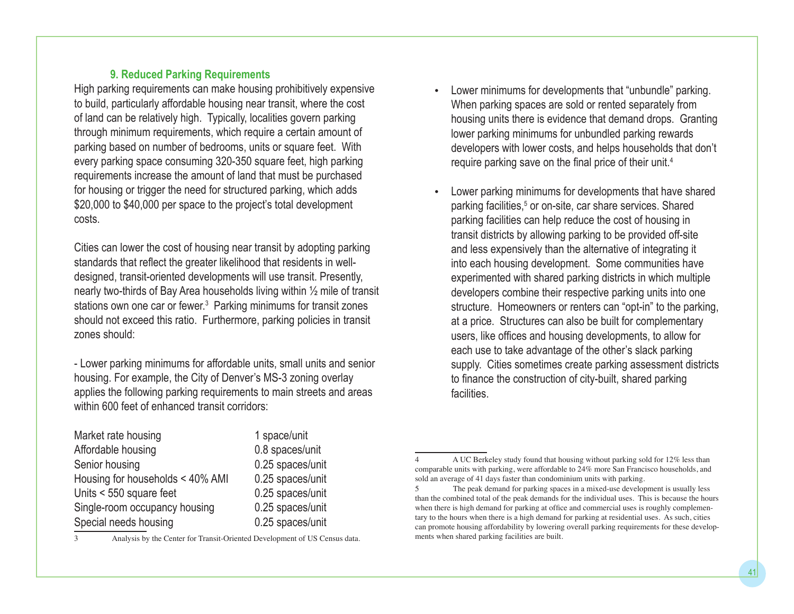# **9. Reduced Parking Requirements**

High parking requirements can make housing prohibitively expensive to build, particularly affordable housing near transit, where the cost of land can be relatively high. Typically, localities govern parking through minimum requirements, which require a certain amount of parking based on number of bedrooms, units or square feet. With every parking space consuming 320-350 square feet, high parking requirements increase the amount of land that must be purchased for housing or trigger the need for structured parking, which adds \$20,000 to \$40,000 per space to the project's total development costs.

Cities can lower the cost of housing near transit by adopting parking standards that reflect the greater likelihood that residents in welldesigned, transit-oriented developments will use transit. Presently, nearly two-thirds of Bay Area households living within ½ mile of transit stations own one car or fewer.<sup>3</sup> Parking minimums for transit zones should not exceed this ratio. Furthermore, parking policies in transit zones should:

- Lower parking minimums for affordable units, small units and senior housing. For example, the City of Denver's MS-3 zoning overlay applies the following parking requirements to main streets and areas within 600 feet of enhanced transit corridors:

| Market rate housing              | 1 space/unit     |
|----------------------------------|------------------|
| Affordable housing               | 0.8 spaces/unit  |
| Senior housing                   | 0.25 spaces/unit |
| Housing for households < 40% AMI | 0.25 spaces/unit |
| Units < 550 square feet          | 0.25 spaces/unit |
| Single-room occupancy housing    | 0.25 spaces/unit |
| Special needs housing            | 0.25 spaces/unit |
|                                  |                  |

3 Analysis by the Center for Transit-Oriented Development of US Census data.

- Lower minimums for developments that "unbundle" parking. When parking spaces are sold or rented separately from housing units there is evidence that demand drops. Granting lower parking minimums for unbundled parking rewards developers with lower costs, and helps households that don't require parking save on the final price of their unit.<sup>4</sup>
- Lower parking minimums for developments that have shared parking facilities,<sup>5</sup> or on-site, car share services. Shared parking facilities can help reduce the cost of housing in transit districts by allowing parking to be provided off-site and less expensively than the alternative of integrating it into each housing development. Some communities have experimented with shared parking districts in which multiple developers combine their respective parking units into one structure. Homeowners or renters can "opt-in" to the parking, at a price. Structures can also be built for complementary users, like offices and housing developments, to allow for each use to take advantage of the other's slack parking supply. Cities sometimes create parking assessment districts to finance the construction of city-built, shared parking facilities.

<sup>4</sup> A UC Berkeley study found that housing without parking sold for 12% less than comparable units with parking, were affordable to 24% more San Francisco households, and sold an average of 41 days faster than condominium units with parking.

<sup>5</sup> The peak demand for parking spaces in a mixed-use development is usually less than the combined total of the peak demands for the individual uses. This is because the hours when there is high demand for parking at office and commercial uses is roughly complementary to the hours when there is a high demand for parking at residential uses. As such, cities can promote housing affordability by lowering overall parking requirements for these developments when shared parking facilities are built.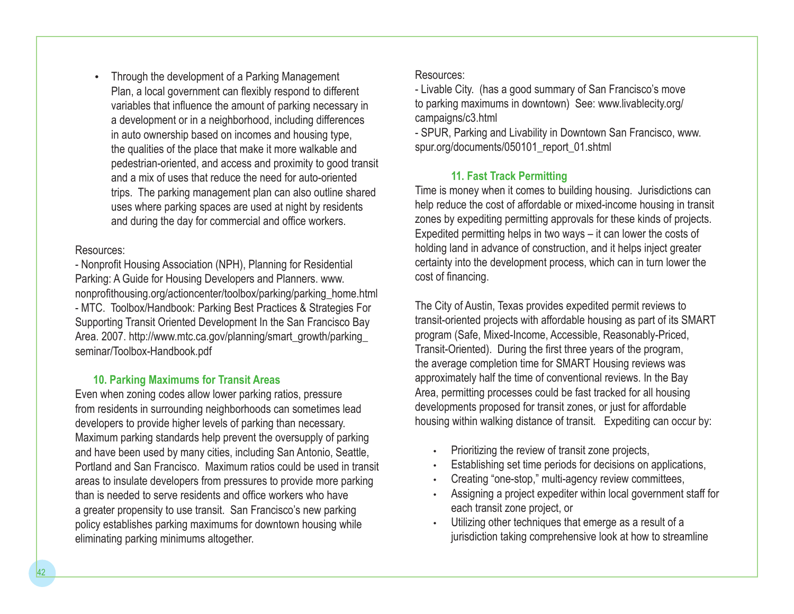Through the development of a Parking Management Plan, a local government can flexibly respond to different variables that influence the amount of parking necessary in a development or in a neighborhood, including differences in auto ownership based on incomes and housing type, the qualities of the place that make it more walkable and pedestrian-oriented, and access and proximity to good transit and a mix of uses that reduce the need for auto-oriented trips. The parking management plan can also outline shared uses where parking spaces are used at night by residents and during the day for commercial and office workers.

#### Resources:

- Nonprofit Housing Association (NPH), Planning for Residential Parking: A Guide for Housing Developers and Planners. www. nonprofithousing.org/actioncenter/toolbox/parking/parking\_home.html - MTC. Toolbox/Handbook: Parking Best Practices & Strategies For Supporting Transit Oriented Development In the San Francisco Bay Area. 2007. http://www.mtc.ca.gov/planning/smart\_growth/parking\_ seminar/Toolbox-Handbook.pdf

# **10. Parking Maximums for Transit Areas**

Even when zoning codes allow lower parking ratios, pressure from residents in surrounding neighborhoods can sometimes lead developers to provide higher levels of parking than necessary. Maximum parking standards help prevent the oversupply of parking and have been used by many cities, including San Antonio, Seattle, Portland and San Francisco. Maximum ratios could be used in transit areas to insulate developers from pressures to provide more parking than is needed to serve residents and office workers who have a greater propensity to use transit. San Francisco's new parking policy establishes parking maximums for downtown housing while eliminating parking minimums altogether.

#### Resources:

- Livable City. (has a good summary of San Francisco's move to parking maximums in downtown) See: www.livablecity.org/ campaigns/c3.html

- SPUR, Parking and Livability in Downtown San Francisco, www. spur.org/documents/050101\_report\_01.shtml

# **11. Fast Track Permitting**

Time is money when it comes to building housing. Jurisdictions can help reduce the cost of affordable or mixed-income housing in transit zones by expediting permitting approvals for these kinds of projects. Expedited permitting helps in two ways – it can lower the costs of holding land in advance of construction, and it helps inject greater certainty into the development process, which can in turn lower the cost of financing.

The City of Austin, Texas provides expedited permit reviews to transit-oriented projects with affordable housing as part of its SMART program (Safe, Mixed-Income, Accessible, Reasonably-Priced, Transit-Oriented). During the first three years of the program, the average completion time for SMART Housing reviews was approximately half the time of conventional reviews. In the Bay Area, permitting processes could be fast tracked for all housing developments proposed for transit zones, or just for affordable housing within walking distance of transit. Expediting can occur by:

- Prioritizing the review of transit zone projects,
- Establishing set time periods for decisions on applications,
- • Creating "one-stop," multi-agency review committees,
- Assigning a project expediter within local government staff for each transit zone project, or
- Utilizing other techniques that emerge as a result of a jurisdiction taking comprehensive look at how to streamline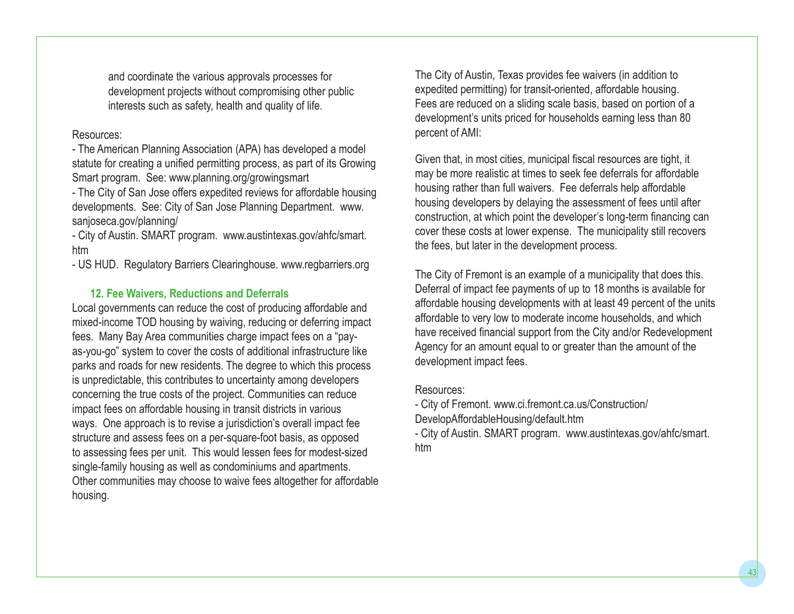and coordinate the various approvals processes for development projects without compromising other public interests such as safety, health and quality of life.

#### Resources:

- The American Planning Association (APA) has developed a model statute for creating a unified permitting process, as part of its Growing Smart program. See: www.planning.org/growingsmart

- The City of San Jose offers expedited reviews for affordable housing developments. See: City of San Jose Planning Department. www. sanjoseca.gov/planning/

- City of Austin. SMART program. www.austintexas.gov/ahfc/smart. htm

- US HUD. Regulatory Barriers Clearinghouse. www.regbarriers.org

# **12. Fee Waivers, Reductions and Deferrals**

Local governments can reduce the cost of producing affordable and mixed-income TOD housing by waiving, reducing or deferring impact fees. Many Bay Area communities charge impact fees on a "payas-you-go" system to cover the costs of additional infrastructure like parks and roads for new residents. The degree to which this process is unpredictable, this contributes to uncertainty among developers concerning the true costs of the project. Communities can reduce impact fees on affordable housing in transit districts in various ways. One approach is to revise a jurisdiction's overall impact fee structure and assess fees on a per-square-foot basis, as opposed to assessing fees per unit. This would lessen fees for modest-sized single-family housing as well as condominiums and apartments. Other communities may choose to waive fees altogether for affordable housing.

The City of Austin, Texas provides fee waivers (in addition to expedited permitting) for transit-oriented, affordable housing. Fees are reduced on a sliding scale basis, based on portion of a development's units priced for households earning less than 80 percent of AMI:

Given that, in most cities, municipal fiscal resources are tight, it may be more realistic at times to seek fee deferrals for affordable housing rather than full waivers. Fee deferrals help affordable housing developers by delaying the assessment of fees until after construction, at which point the developer's long-term financing can cover these costs at lower expense. The municipality still recovers the fees, but later in the development process.

The City of Fremont is an example of a municipality that does this. Deferral of impact fee payments of up to 18 months is available for affordable housing developments with at least 49 percent of the units affordable to very low to moderate income households, and which have received financial support from the City and/or Redevelopment Agency for an amount equal to or greater than the amount of the development impact fees.

# Resources:

- City of Fremont. www.ci.fremont.ca.us/Construction/

DevelopAffordableHousing/default.htm

- City of Austin. SMART program. www.austintexas.gov/ahfc/smart. htm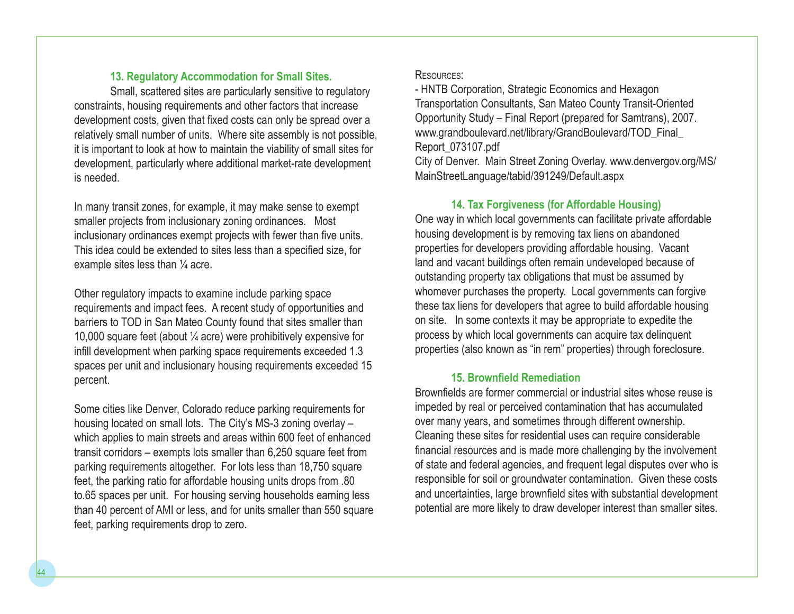#### **13. Regulatory Accommodation for Small Sites.**

Small, scattered sites are particularly sensitive to regulatory constraints, housing requirements and other factors that increase development costs, given that fixed costs can only be spread over a relatively small number of units. Where site assembly is not possible, it is important to look at how to maintain the viability of small sites for development, particularly where additional market-rate development is needed.

In many transit zones, for example, it may make sense to exempt smaller projects from inclusionary zoning ordinances. Most inclusionary ordinances exempt projects with fewer than five units. This idea could be extended to sites less than a specified size, for example sites less than  $\frac{1}{4}$  acre.

Other regulatory impacts to examine include parking space requirements and impact fees. A recent study of opportunities and barriers to TOD in San Mateo County found that sites smaller than 10,000 square feet (about ¼ acre) were prohibitively expensive for infill development when parking space requirements exceeded 1.3 spaces per unit and inclusionary housing requirements exceeded 15 percent.

Some cities like Denver, Colorado reduce parking requirements for housing located on small lots. The City's MS-3 zoning overlay – which applies to main streets and areas within 600 feet of enhanced transit corridors – exempts lots smaller than 6,250 square feet from parking requirements altogether. For lots less than 18,750 square feet, the parking ratio for affordable housing units drops from .80 to.65 spaces per unit. For housing serving households earning less than 40 percent of AMI or less, and for units smaller than 550 square feet, parking requirements drop to zero.

#### Resources:

- HNTB Corporation, Strategic Economics and Hexagon Transportation Consultants, San Mateo County Transit-Oriented Opportunity Study – Final Report (prepared for Samtrans), 2007. www.grandboulevard.net/library/GrandBoulevard/TOD\_Final\_ Report\_073107.pdf

City of Denver. Main Street Zoning Overlay. www.denvergov.org/MS/ MainStreetLanguage/tabid/391249/Default.aspx

# **14. Tax Forgiveness (for Affordable Housing)**

One way in which local governments can facilitate private affordable housing development is by removing tax liens on abandoned properties for developers providing affordable housing. Vacant land and vacant buildings often remain undeveloped because of outstanding property tax obligations that must be assumed by whomever purchases the property. Local governments can forgive these tax liens for developers that agree to build affordable housing on site. In some contexts it may be appropriate to expedite the process by which local governments can acquire tax delinquent properties (also known as "in rem" properties) through foreclosure.

#### **15. Brownfield Remediation**

Brownfields are former commercial or industrial sites whose reuse is impeded by real or perceived contamination that has accumulated over many years, and sometimes through different ownership. Cleaning these sites for residential uses can require considerable financial resources and is made more challenging by the involvement of state and federal agencies, and frequent legal disputes over who is responsible for soil or groundwater contamination. Given these costs and uncertainties, large brownfield sites with substantial development potential are more likely to draw developer interest than smaller sites.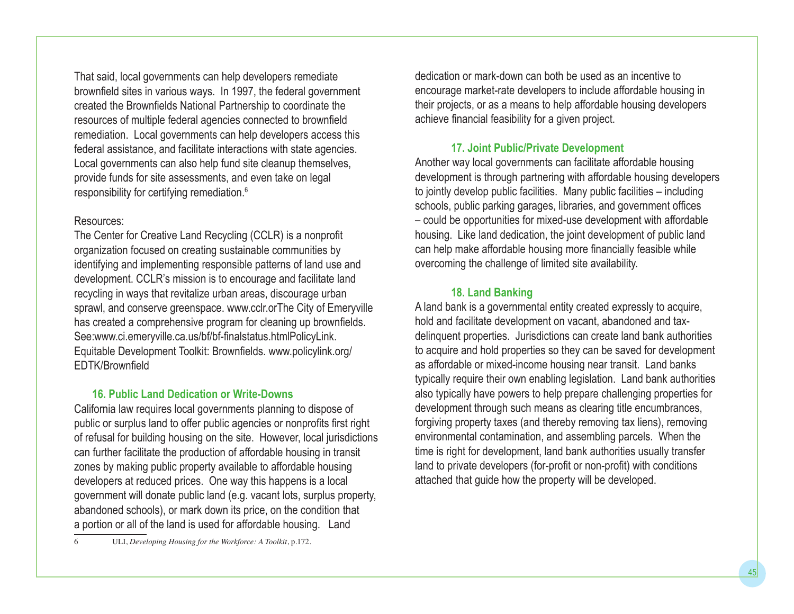That said, local governments can help developers remediate brownfield sites in various ways. In 1997, the federal government created the Brownfields National Partnership to coordinate the resources of multiple federal agencies connected to brownfield remediation. Local governments can help developers access this federal assistance, and facilitate interactions with state agencies. Local governments can also help fund site cleanup themselves, provide funds for site assessments, and even take on legal responsibility for certifying remediation.<sup>6</sup>

### Resources:

The Center for Creative Land Recycling (CCLR) is a nonprofit organization focused on creating sustainable communities by identifying and implementing responsible patterns of land use and development. CCLR's mission is to encourage and facilitate land recycling in ways that revitalize urban areas, discourage urban sprawl, and conserve greenspace. www.cclr.orThe City of Emeryville has created a comprehensive program for cleaning up brownfields. See:www.ci.emeryville.ca.us/bf/bf-finalstatus.htmlPolicyLink. Equitable Development Toolkit: Brownfields. www.policylink.org/ EDTK/Brownfield

# **16. Public Land Dedication or Write-Downs**

California law requires local governments planning to dispose of public or surplus land to offer public agencies or nonprofits first right of refusal for building housing on the site. However, local jurisdictions can further facilitate the production of affordable housing in transit zones by making public property available to affordable housing developers at reduced prices. One way this happens is a local government will donate public land (e.g. vacant lots, surplus property, abandoned schools), or mark down its price, on the condition that a portion or all of the land is used for affordable housing. Land

6 ULI, *Developing Housing for the Workforce: A Toolkit*, p.172.

dedication or mark-down can both be used as an incentive to encourage market-rate developers to include affordable housing in their projects, or as a means to help affordable housing developers achieve financial feasibility for a given project.

# **17. Joint Public/Private Development**

Another way local governments can facilitate affordable housing development is through partnering with affordable housing developers to jointly develop public facilities. Many public facilities – including schools, public parking garages, libraries, and government offices – could be opportunities for mixed-use development with affordable housing. Like land dedication, the joint development of public land can help make affordable housing more financially feasible while overcoming the challenge of limited site availability.

# **18. Land Banking**

A land bank is a governmental entity created expressly to acquire, hold and facilitate development on vacant, abandoned and taxdelinquent properties. Jurisdictions can create land bank authorities to acquire and hold properties so they can be saved for development as affordable or mixed-income housing near transit. Land banks typically require their own enabling legislation. Land bank authorities also typically have powers to help prepare challenging properties for development through such means as clearing title encumbrances, forgiving property taxes (and thereby removing tax liens), removing environmental contamination, and assembling parcels. When the time is right for development, land bank authorities usually transfer land to private developers (for-profit or non-profit) with conditions attached that guide how the property will be developed.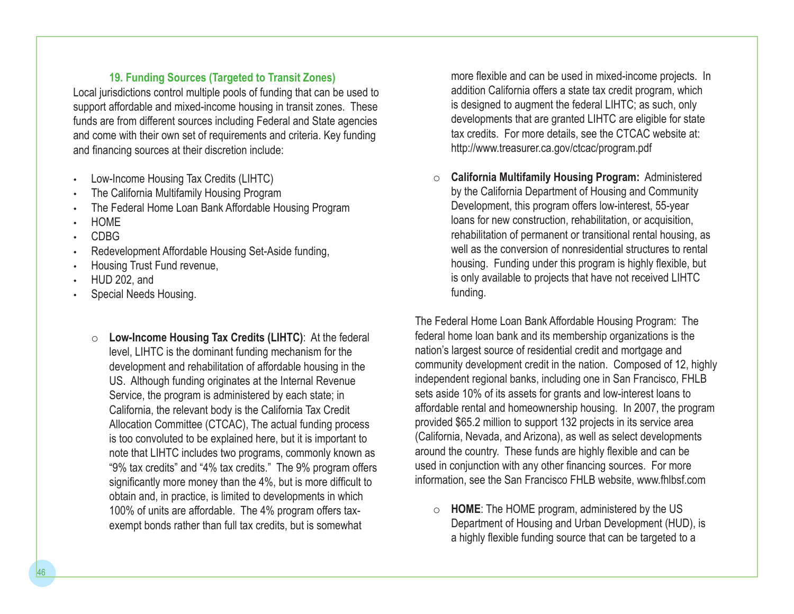# **19. Funding Sources (Targeted to Transit Zones)**

Local jurisdictions control multiple pools of funding that can be used to support affordable and mixed-income housing in transit zones. These funds are from different sources including Federal and State agencies and come with their own set of requirements and criteria. Key funding and financing sources at their discretion include:

- Low-Income Housing Tax Credits (LIHTC)
- The California Multifamily Housing Program
- The Federal Home Loan Bank Affordable Housing Program
- **HOME**
- • CDBG
- Redevelopment Affordable Housing Set-Aside funding,
- Housing Trust Fund revenue,
- **HUD 202, and**
- Special Needs Housing.
	- o **Low-Income Housing Tax Credits (LIHTC)**: At the federal level, LIHTC is the dominant funding mechanism for the development and rehabilitation of affordable housing in the US. Although funding originates at the Internal Revenue Service, the program is administered by each state; in California, the relevant body is the California Tax Credit Allocation Committee (CTCAC), The actual funding process is too convoluted to be explained here, but it is important to note that LIHTC includes two programs, commonly known as "9% tax credits" and "4% tax credits." The 9% program offers significantly more money than the 4%, but is more difficult to obtain and, in practice, is limited to developments in which 100% of units are affordable. The 4% program offers taxexempt bonds rather than full tax credits, but is somewhat

more flexible and can be used in mixed-income projects. In addition California offers a state tax credit program, which is designed to augment the federal LIHTC; as such, only developments that are granted LIHTC are eligible for state tax credits. For more details, see the CTCAC website at: http://www.treasurer.ca.gov/ctcac/program.pdf

**California Multifamily Housing Program: Administered** by the California Department of Housing and Community Development, this program offers low-interest, 55-year loans for new construction, rehabilitation, or acquisition, rehabilitation of permanent or transitional rental housing, as well as the conversion of nonresidential structures to rental housing. Funding under this program is highly flexible, but is only available to projects that have not received LIHTC funding.

The Federal Home Loan Bank Affordable Housing Program: The federal home loan bank and its membership organizations is the nation's largest source of residential credit and mortgage and community development credit in the nation. Composed of 12, highly independent regional banks, including one in San Francisco, FHLB sets aside 10% of its assets for grants and low-interest loans to affordable rental and homeownership housing. In 2007, the program provided \$65.2 million to support 132 projects in its service area (California, Nevada, and Arizona), as well as select developments around the country. These funds are highly flexible and can be used in conjunction with any other financing sources. For more information, see the San Francisco FHLB website, www.fhlbsf.com

o **HOME**: The HOME program, administered by the US Department of Housing and Urban Development (HUD), is a highly flexible funding source that can be targeted to a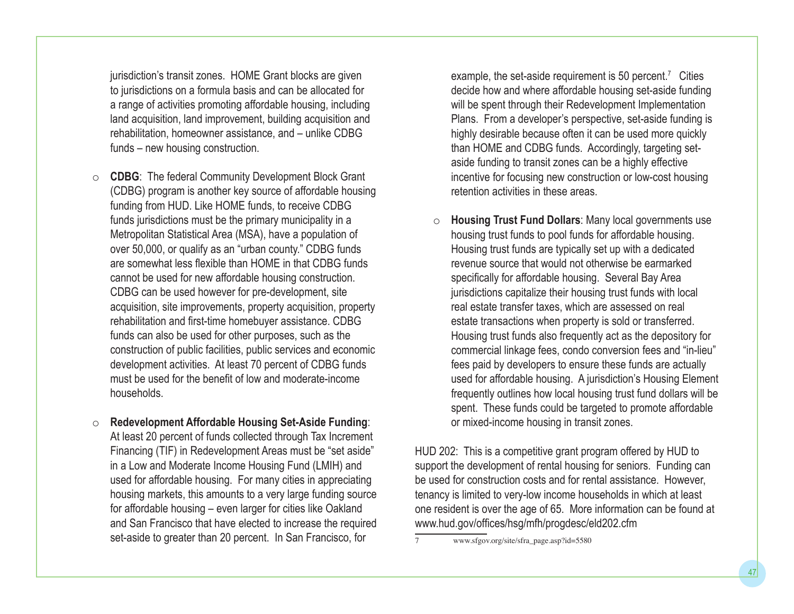jurisdiction's transit zones. HOME Grant blocks are given to jurisdictions on a formula basis and can be allocated for a range of activities promoting affordable housing, including land acquisition, land improvement, building acquisition and rehabilitation, homeowner assistance, and – unlike CDBG funds – new housing construction.

- o **CDBG**: The federal Community Development Block Grant (CDBG) program is another key source of affordable housing funding from HUD. Like HOME funds, to receive CDBG funds jurisdictions must be the primary municipality in a Metropolitan Statistical Area (MSA), have a population of over 50,000, or qualify as an "urban county." CDBG funds are somewhat less flexible than HOME in that CDBG funds cannot be used for new affordable housing construction. CDBG can be used however for pre-development, site acquisition, site improvements, property acquisition, property rehabilitation and first-time homebuyer assistance. CDBG funds can also be used for other purposes, such as the construction of public facilities, public services and economic development activities. At least 70 percent of CDBG funds must be used for the benefit of low and moderate-income households.
- o **Redevelopment Affordable Housing Set-Aside Funding**: At least 20 percent of funds collected through Tax Increment Financing (TIF) in Redevelopment Areas must be "set aside" in a Low and Moderate Income Housing Fund (LMIH) and used for affordable housing. For many cities in appreciating housing markets, this amounts to a very large funding source for affordable housing – even larger for cities like Oakland and San Francisco that have elected to increase the required set-aside to greater than 20 percent. In San Francisco, for

example, the set-aside requirement is 50 percent.<sup>7</sup> Cities decide how and where affordable housing set-aside funding will be spent through their Redevelopment Implementation Plans. From a developer's perspective, set-aside funding is highly desirable because often it can be used more quickly than HOME and CDBG funds. Accordingly, targeting setaside funding to transit zones can be a highly effective incentive for focusing new construction or low-cost housing retention activities in these areas.

**Housing Trust Fund Dollars: Many local governments use** housing trust funds to pool funds for affordable housing. Housing trust funds are typically set up with a dedicated revenue source that would not otherwise be earmarked specifically for affordable housing. Several Bay Area jurisdictions capitalize their housing trust funds with local real estate transfer taxes, which are assessed on real estate transactions when property is sold or transferred. Housing trust funds also frequently act as the depository for commercial linkage fees, condo conversion fees and "in-lieu" fees paid by developers to ensure these funds are actually used for affordable housing. A jurisdiction's Housing Element frequently outlines how local housing trust fund dollars will be spent. These funds could be targeted to promote affordable or mixed-income housing in transit zones.

HUD 202: This is a competitive grant program offered by HUD to support the development of rental housing for seniors. Funding can be used for construction costs and for rental assistance. However, tenancy is limited to very-low income households in which at least one resident is over the age of 65. More information can be found at www.hud.gov/offices/hsg/mfh/progdesc/eld202.cfm

<sup>7</sup> www.sfgov.org/site/sfra\_page.asp?id=5580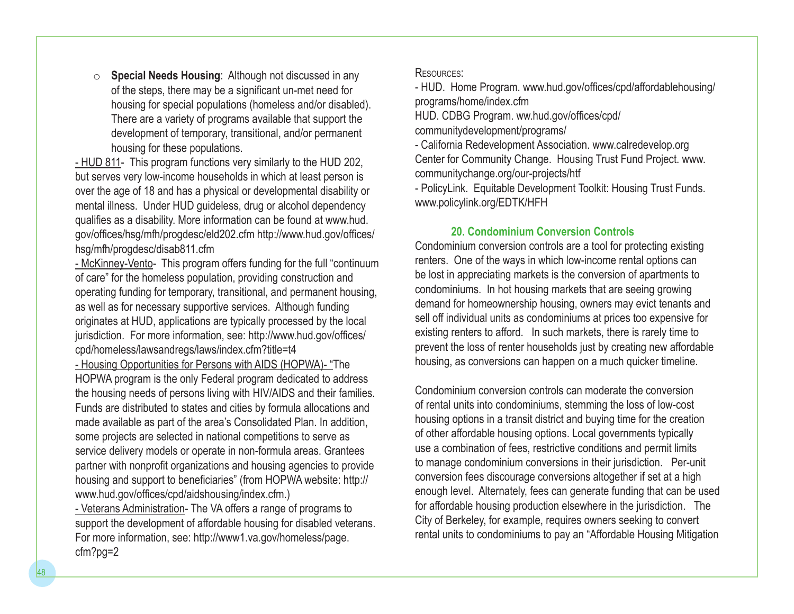o **Special Needs Housing**: Although not discussed in any of the steps, there may be a significant un-met need for housing for special populations (homeless and/or disabled). There are a variety of programs available that support the development of temporary, transitional, and/or permanent housing for these populations.

- HUD 811- This program functions very similarly to the HUD 202, but serves very low-income households in which at least person is over the age of 18 and has a physical or developmental disability or mental illness. Under HUD guideless, drug or alcohol dependency qualifies as a disability. More information can be found at www.hud. gov/offices/hsg/mfh/progdesc/eld202.cfm http://www.hud.gov/offices/ hsg/mfh/progdesc/disab811.cfm

- McKinney-Vento- This program offers funding for the full "continuum of care" for the homeless population, providing construction and operating funding for temporary, transitional, and permanent housing, as well as for necessary supportive services. Although funding originates at HUD, applications are typically processed by the local jurisdiction. For more information, see: http://www.hud.gov/offices/ cpd/homeless/lawsandregs/laws/index.cfm?title=t4

- Housing Opportunities for Persons with AIDS (HOPWA)- "The HOPWA program is the only Federal program dedicated to address the housing needs of persons living with HIV/AIDS and their families. Funds are distributed to states and cities by formula allocations and made available as part of the area's Consolidated Plan. In addition, some projects are selected in national competitions to serve as service delivery models or operate in non-formula areas. Grantees partner with nonprofit organizations and housing agencies to provide housing and support to beneficiaries" (from HOPWA website: http:// www.hud.gov/offices/cpd/aidshousing/index.cfm.)

- Veterans Administration- The VA offers a range of programs to support the development of affordable housing for disabled veterans. For more information, see: http://www1.va.gov/homeless/page. cfm?pg=2

#### Resources:

- HUD. Home Program. www.hud.gov/offices/cpd/affordablehousing/ programs/home/index.cfm

HUD. CDBG Program. ww.hud.gov/offices/cpd/ communitydevelopment/programs/

- California Redevelopment Association. www.calredevelop.org Center for Community Change. Housing Trust Fund Project. www. communitychange.org/our-projects/htf

- PolicyLink. Equitable Development Toolkit: Housing Trust Funds. www.policylink.org/EDTK/HFH

# **20. Condominium Conversion Controls**

Condominium conversion controls are a tool for protecting existing renters. One of the ways in which low-income rental options can be lost in appreciating markets is the conversion of apartments to condominiums. In hot housing markets that are seeing growing demand for homeownership housing, owners may evict tenants and sell off individual units as condominiums at prices too expensive for existing renters to afford. In such markets, there is rarely time to prevent the loss of renter households just by creating new affordable housing, as conversions can happen on a much quicker timeline.

Condominium conversion controls can moderate the conversion of rental units into condominiums, stemming the loss of low-cost housing options in a transit district and buying time for the creation of other affordable housing options. Local governments typically use a combination of fees, restrictive conditions and permit limits to manage condominium conversions in their jurisdiction. Per-unit conversion fees discourage conversions altogether if set at a high enough level. Alternately, fees can generate funding that can be used for affordable housing production elsewhere in the jurisdiction. The City of Berkeley, for example, requires owners seeking to convert rental units to condominiums to pay an "Affordable Housing Mitigation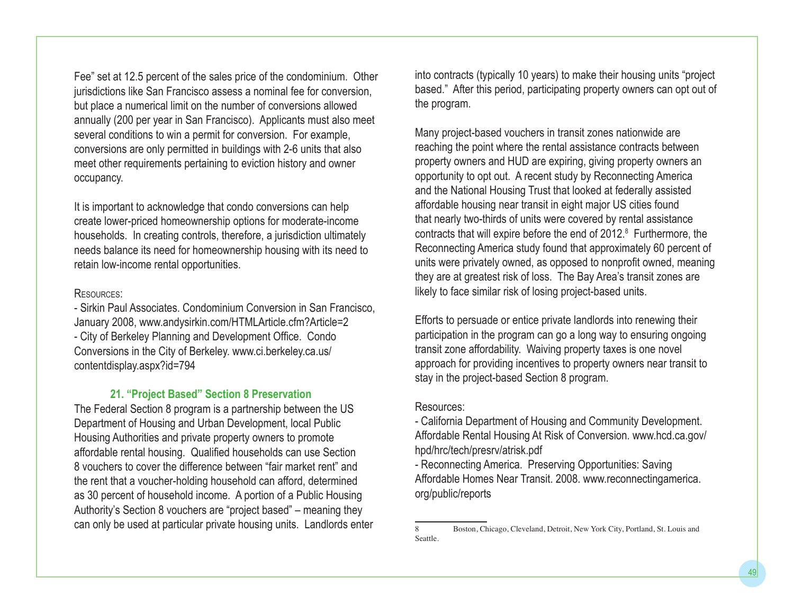Fee" set at 12.5 percent of the sales price of the condominium. Other jurisdictions like San Francisco assess a nominal fee for conversion, but place a numerical limit on the number of conversions allowed annually (200 per year in San Francisco). Applicants must also meet several conditions to win a permit for conversion. For example, conversions are only permitted in buildings with 2-6 units that also meet other requirements pertaining to eviction history and owner occupancy.

It is important to acknowledge that condo conversions can help create lower-priced homeownership options for moderate-income households. In creating controls, therefore, a jurisdiction ultimately needs balance its need for homeownership housing with its need to retain low-income rental opportunities.

#### Resources:

- Sirkin Paul Associates. Condominium Conversion in San Francisco, January 2008, www.andysirkin.com/HTMLArticle.cfm?Article=2 - City of Berkeley Planning and Development Office. Condo Conversions in the City of Berkeley. www.ci.berkeley.ca.us/ contentdisplay.aspx?id=794

#### **21. "Project Based" Section 8 Preservation**

The Federal Section 8 program is a partnership between the US Department of Housing and Urban Development, local Public Housing Authorities and private property owners to promote affordable rental housing. Qualified households can use Section 8 vouchers to cover the difference between "fair market rent" and the rent that a voucher-holding household can afford, determined as 30 percent of household income. A portion of a Public Housing Authority's Section 8 vouchers are "project based" – meaning they can only be used at particular private housing units. Landlords enter into contracts (typically 10 years) to make their housing units "project based." After this period, participating property owners can opt out of the program.

Many project-based vouchers in transit zones nationwide are reaching the point where the rental assistance contracts between property owners and HUD are expiring, giving property owners an opportunity to opt out. A recent study by Reconnecting America and the National Housing Trust that looked at federally assisted affordable housing near transit in eight major US cities found that nearly two-thirds of units were covered by rental assistance contracts that will expire before the end of 2012.<sup>8</sup> Furthermore, the Reconnecting America study found that approximately 60 percent of units were privately owned, as opposed to nonprofit owned, meaning they are at greatest risk of loss. The Bay Area's transit zones are likely to face similar risk of losing project-based units.

Efforts to persuade or entice private landlords into renewing their participation in the program can go a long way to ensuring ongoing transit zone affordability. Waiving property taxes is one novel approach for providing incentives to property owners near transit to stay in the project-based Section 8 program.

#### Resources:

- California Department of Housing and Community Development. Affordable Rental Housing At Risk of Conversion. www.hcd.ca.gov/ hpd/hrc/tech/presrv/atrisk.pdf

- Reconnecting America. Preserving Opportunities: Saving Affordable Homes Near Transit. 2008. www.reconnectingamerica. org/public/reports

<sup>8</sup> Boston, Chicago, Cleveland, Detroit, New York City, Portland, St. Louis and Seattle.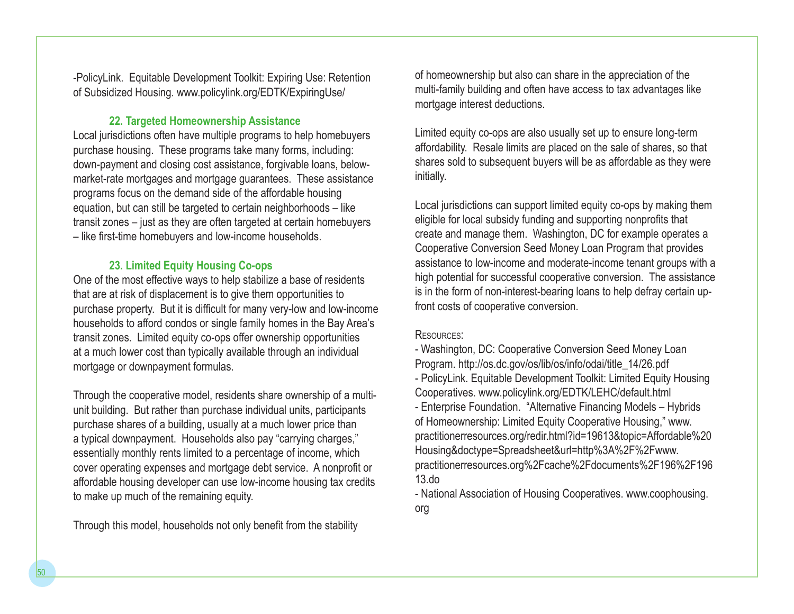-PolicyLink. Equitable Development Toolkit: Expiring Use: Retention of Subsidized Housing. www.policylink.org/EDTK/ExpiringUse/

### **22. Targeted Homeownership Assistance**

Local jurisdictions often have multiple programs to help homebuyers purchase housing. These programs take many forms, including: down-payment and closing cost assistance, forgivable loans, belowmarket-rate mortgages and mortgage guarantees. These assistance programs focus on the demand side of the affordable housing equation, but can still be targeted to certain neighborhoods – like transit zones – just as they are often targeted at certain homebuyers – like first-time homebuyers and low-income households.

#### **23. Limited Equity Housing Co-ops**

One of the most effective ways to help stabilize a base of residents that are at risk of displacement is to give them opportunities to purchase property. But it is difficult for many very-low and low-income households to afford condos or single family homes in the Bay Area's transit zones. Limited equity co-ops offer ownership opportunities at a much lower cost than typically available through an individual mortgage or downpayment formulas.

Through the cooperative model, residents share ownership of a multiunit building. But rather than purchase individual units, participants purchase shares of a building, usually at a much lower price than a typical downpayment. Households also pay "carrying charges," essentially monthly rents limited to a percentage of income, which cover operating expenses and mortgage debt service. A nonprofit or affordable housing developer can use low-income housing tax credits to make up much of the remaining equity.

Through this model, households not only benefit from the stability

of homeownership but also can share in the appreciation of the multi-family building and often have access to tax advantages like mortgage interest deductions.

Limited equity co-ops are also usually set up to ensure long-term affordability. Resale limits are placed on the sale of shares, so that shares sold to subsequent buyers will be as affordable as they were initially.

Local jurisdictions can support limited equity co-ops by making them eligible for local subsidy funding and supporting nonprofits that create and manage them. Washington, DC for example operates a Cooperative Conversion Seed Money Loan Program that provides assistance to low-income and moderate-income tenant groups with a high potential for successful cooperative conversion. The assistance is in the form of non-interest-bearing loans to help defray certain upfront costs of cooperative conversion.

#### Resources:

- Washington, DC: Cooperative Conversion Seed Money Loan Program. http://os.dc.gov/os/lib/os/info/odai/title\_14/26.pdf - PolicyLink. Equitable Development Toolkit: Limited Equity Housing Cooperatives. www.policylink.org/EDTK/LEHC/default.html - Enterprise Foundation. "Alternative Financing Models – Hybrids of Homeownership: Limited Equity Cooperative Housing," www. practitionerresources.org/redir.html?id=19613&topic=Affordable%20 Housing&doctype=Spreadsheet&url=http%3A%2F%2Fwww. practitionerresources.org%2Fcache%2Fdocuments%2F196%2F196 13.do

- National Association of Housing Cooperatives. www.coophousing. org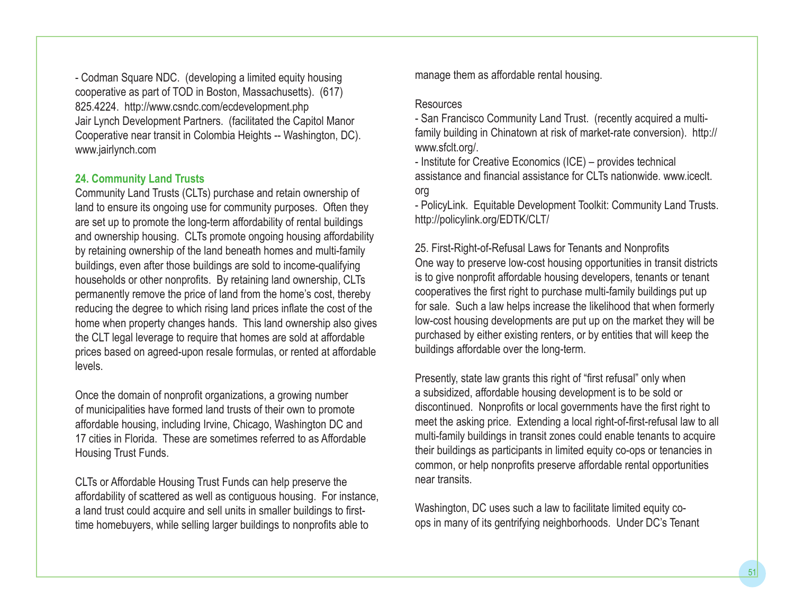- Codman Square NDC. (developing a limited equity housing cooperative as part of TOD in Boston, Massachusetts). (617) 825.4224. http://www.csndc.com/ecdevelopment.php Jair Lynch Development Partners. (facilitated the Capitol Manor Cooperative near transit in Colombia Heights -- Washington, DC). www.jairlynch.com

#### **24. Community Land Trusts**

Community Land Trusts (CLTs) purchase and retain ownership of land to ensure its ongoing use for community purposes. Often they are set up to promote the long-term affordability of rental buildings and ownership housing. CLTs promote ongoing housing affordability by retaining ownership of the land beneath homes and multi-family buildings, even after those buildings are sold to income-qualifying households or other nonprofits. By retaining land ownership, CLTs permanently remove the price of land from the home's cost, thereby reducing the degree to which rising land prices inflate the cost of the home when property changes hands. This land ownership also gives the CLT legal leverage to require that homes are sold at affordable prices based on agreed-upon resale formulas, or rented at affordable levels.

Once the domain of nonprofit organizations, a growing number of municipalities have formed land trusts of their own to promote affordable housing, including Irvine, Chicago, Washington DC and 17 cities in Florida. These are sometimes referred to as Affordable Housing Trust Funds.

CLTs or Affordable Housing Trust Funds can help preserve the affordability of scattered as well as contiguous housing. For instance, a land trust could acquire and sell units in smaller buildings to firsttime homebuyers, while selling larger buildings to nonprofits able to

manage them as affordable rental housing.

### **Resources**

- San Francisco Community Land Trust. (recently acquired a multifamily building in Chinatown at risk of market-rate conversion). http:// www.sfclt.org/.

- Institute for Creative Economics (ICE) – provides technical assistance and financial assistance for CLTs nationwide. www.iceclt. org

- PolicyLink. Equitable Development Toolkit: Community Land Trusts. http://policylink.org/EDTK/CLT/

25. First-Right-of-Refusal Laws for Tenants and Nonprofits One way to preserve low-cost housing opportunities in transit districts is to give nonprofit affordable housing developers, tenants or tenant cooperatives the first right to purchase multi-family buildings put up for sale. Such a law helps increase the likelihood that when formerly low-cost housing developments are put up on the market they will be purchased by either existing renters, or by entities that will keep the buildings affordable over the long-term.

Presently, state law grants this right of "first refusal" only when a subsidized, affordable housing development is to be sold or discontinued. Nonprofits or local governments have the first right to meet the asking price. Extending a local right-of-first-refusal law to all multi-family buildings in transit zones could enable tenants to acquire their buildings as participants in limited equity co-ops or tenancies in common, or help nonprofits preserve affordable rental opportunities near transits.

Washington, DC uses such a law to facilitate limited equity coops in many of its gentrifying neighborhoods. Under DC's Tenant